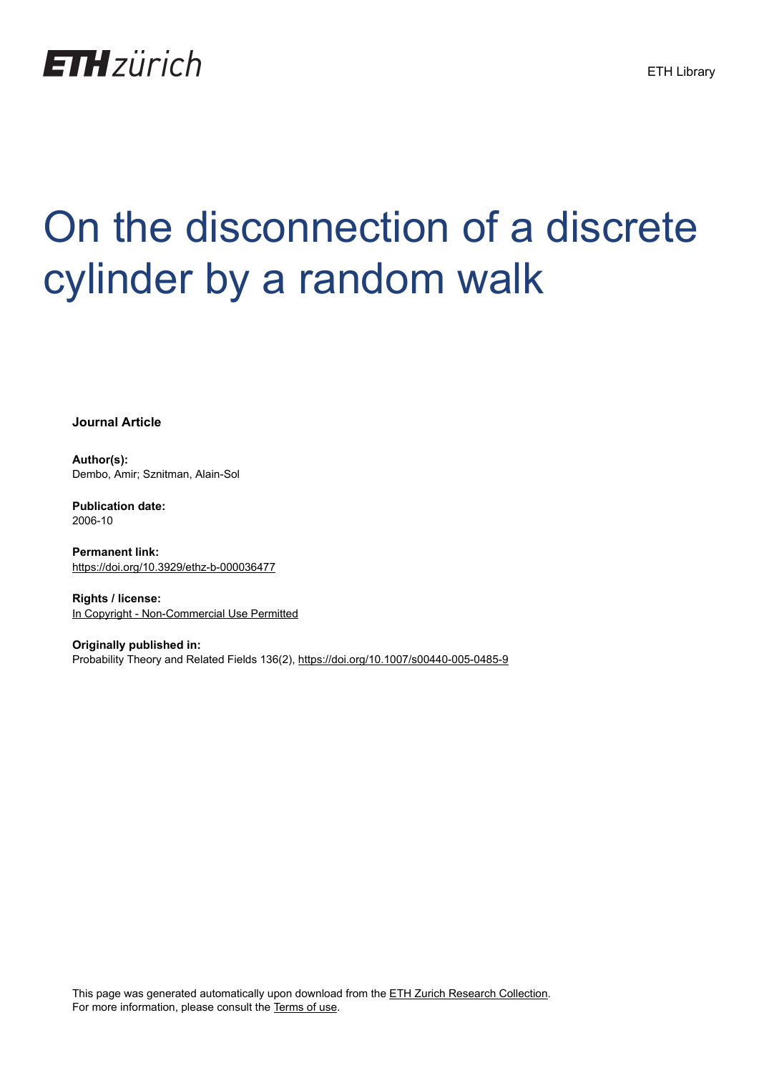

# On the disconnection of a discrete cylinder by a random walk

**Journal Article**

**Author(s):** Dembo, Amir; Sznitman, Alain-Sol

**Publication date:** 2006-10

**Permanent link:** <https://doi.org/10.3929/ethz-b-000036477>

**Rights / license:** [In Copyright - Non-Commercial Use Permitted](http://rightsstatements.org/page/InC-NC/1.0/)

**Originally published in:** Probability Theory and Related Fields 136(2),<https://doi.org/10.1007/s00440-005-0485-9>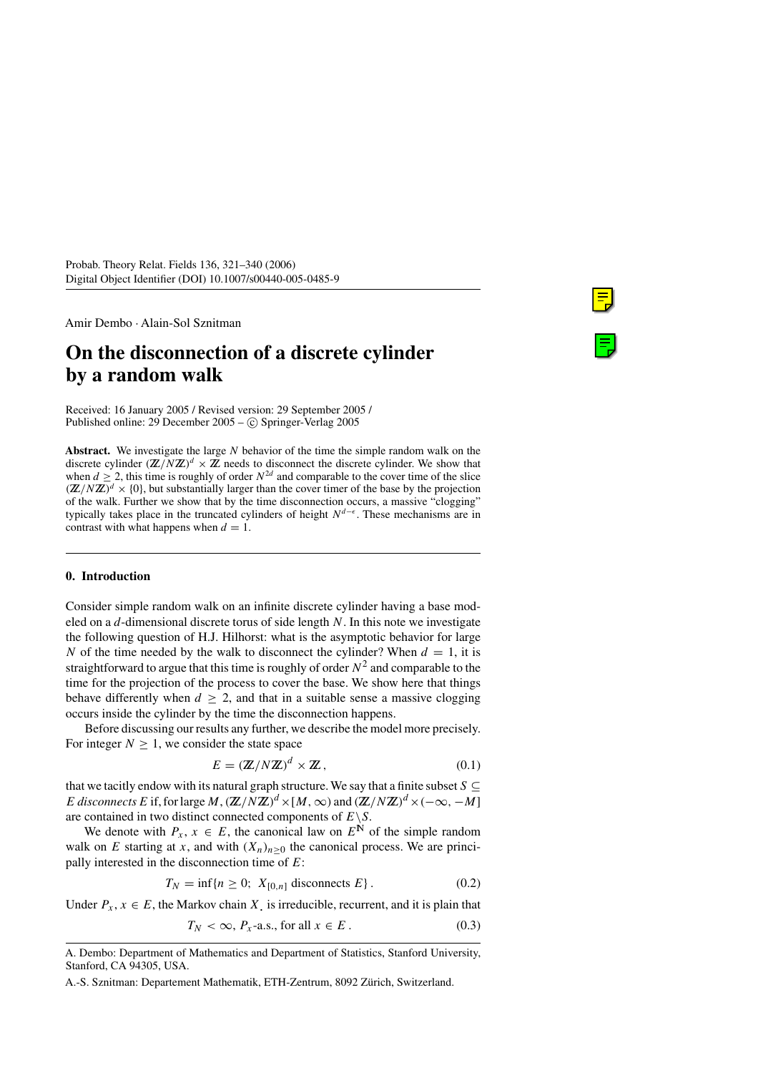Amir Dembo · Alain-Sol Sznitman

# **On the disconnection of a discrete cylinder by a random walk**

Received: 16 January 2005 / Revised version: 29 September 2005 / Published online: 29 December  $2005 - (c)$  Springer-Verlag 2005

**Abstract.** We investigate the large N behavior of the time the simple random walk on the discrete cylinder  $(\mathbb{Z}/N\mathbb{Z})^d \times \mathbb{Z}$  needs to disconnect the discrete cylinder. We show that when  $d \ge 2$ , this time is roughly of order  $N^{2d}$  and comparable to the cover time of the slice  $(\mathbb{Z}/N\mathbb{Z})^d \times \{0\}$ , but substantially larger than the cover timer of the base by the projection of the walk. Further we show that by the time disconnection occurs, a massive "clogging" typically takes place in the truncated cylinders of height  $N^{d-\epsilon}$ . These mechanisms are in contrast with what happens when  $d = 1$ .

## **0. Introduction**

Consider simple random walk on an infinite discrete cylinder having a base modeled on a  $d$ -dimensional discrete torus of side length N. In this note we investigate the following question of H.J. Hilhorst: what is the asymptotic behavior for large N of the time needed by the walk to disconnect the cylinder? When  $d = 1$ , it is straightforward to argue that this time is roughly of order  $N^2$  and comparable to the time for the projection of the process to cover the base. We show here that things behave differently when  $d > 2$ , and that in a suitable sense a massive clogging occurs inside the cylinder by the time the disconnection happens.

Before discussing our results any further, we describe the model more precisely. For integer  $N > 1$ , we consider the state space

$$
E = (\mathbb{Z}/N\mathbb{Z})^d \times \mathbb{Z},\tag{0.1}
$$

that we tacitly endow with its natural graph structure. We say that a finite subset  $S \subseteq$ E disconnects E if, for large M,  $(\mathbb{Z}/N\mathbb{Z})^d \times [M,\infty)$  and  $(\mathbb{Z}/N\mathbb{Z})^d \times (-\infty, -M]$ are contained in two distinct connected components of  $E \ S$ .

We denote with  $P_x$ ,  $x \in E$ , the canonical law on  $E^{\mathbb{N}}$  of the simple random walk on E starting at x, and with  $(X_n)_{n>0}$  the canonical process. We are principally interested in the disconnection time of  $E$ :

$$
T_N = \inf\{n \ge 0; X_{[0,n]}\text{ disconnects } E\}.
$$
\n
$$
(0.2)
$$

Under  $P_x, x \in E$ , the Markov chain X, is irreducible, recurrent, and it is plain that

$$
T_N < \infty, \, P_x\text{-a.s., for all } x \in E \,. \tag{0.3}
$$

A. Dembo: Department of Mathematics and Department of Statistics, Stanford University, Stanford, CA 94305, USA.

A.-S. Sznitman: Departement Mathematik, ETH-Zentrum, 8092 Zürich, Switzerland.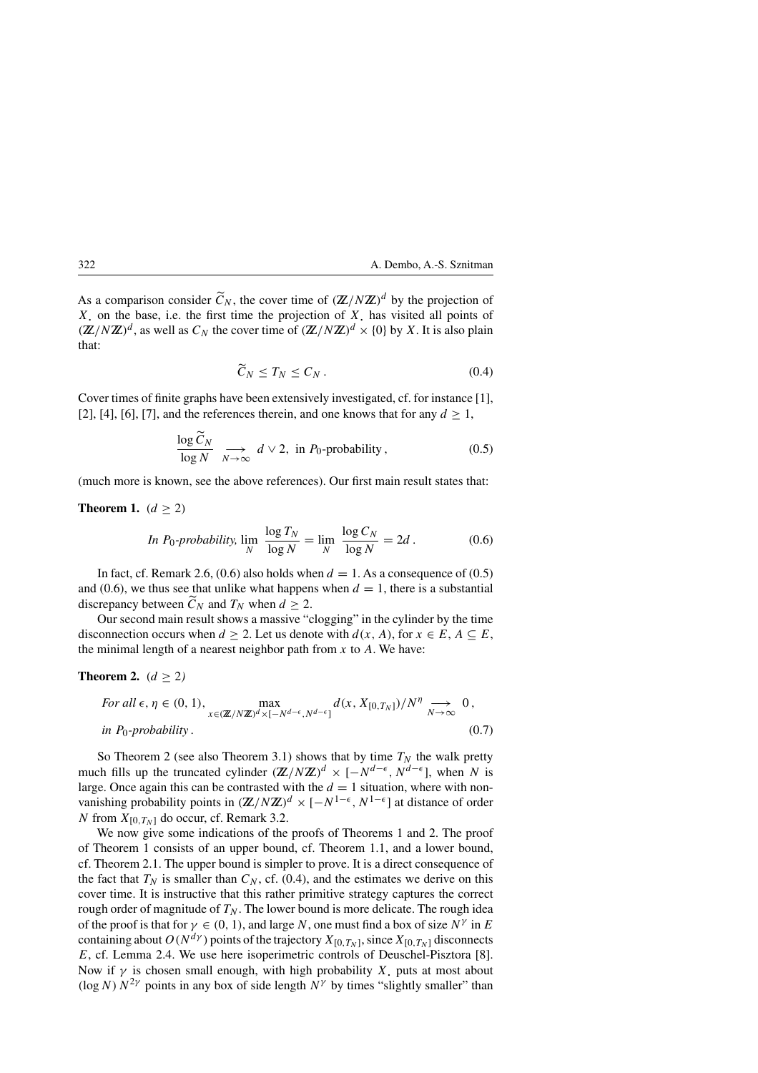As a comparison consider  $\tilde{C}_N$ , the cover time of  $(\mathbb{Z}/N\mathbb{Z})^d$  by the projection of  $X$ , on the base, i.e. the first time the projection of  $X$ , has visited all points of  $(\mathbb{Z}/N\mathbb{Z})^d$ , as well as  $C_N$  the cover time of  $(\mathbb{Z}/N\mathbb{Z})^d \times \{0\}$  by X. It is also plain that:

$$
\widetilde{C}_N \le T_N \le C_N \,. \tag{0.4}
$$

Cover times of finite graphs have been extensively investigated, cf. for instance [1], [2], [4], [6], [7], and the references therein, and one knows that for any  $d \ge 1$ ,

$$
\frac{\log \widetilde{C}_N}{\log N} \underset{N \to \infty}{\longrightarrow} d \vee 2, \text{ in } P_0\text{-probability}, \qquad (0.5)
$$

(much more is known, see the above references). Our first main result states that:

**Theorem 1.**  $(d \ge 2)$ 

In 
$$
P_0
$$
-probability,  $\lim_{N} \frac{\log T_N}{\log N} = \lim_{N} \frac{\log C_N}{\log N} = 2d$ . (0.6)

In fact, cf. Remark 2.6, (0.6) also holds when  $d = 1$ . As a consequence of (0.5) and (0.6), we thus see that unlike what happens when  $d = 1$ , there is a substantial discrepancy between  $\widetilde{C}_N$  and  $T_N$  when  $d \ge 2$ .

Our second main result shows a massive "clogging" in the cylinder by the time disconnection occurs when  $d \ge 2$ . Let us denote with  $d(x, A)$ , for  $x \in E$ ,  $A \subseteq E$ , the minimal length of a nearest neighbor path from  $x$  to  $A$ . We have:

#### **Theorem 2.**  $(d \geq 2)$

For all 
$$
\epsilon, \eta \in (0, 1)
$$
,  
\n
$$
\max_{x \in (\mathbb{Z}/N\mathbb{Z})^d \times [-N^{d-\epsilon}, N^{d-\epsilon}]} d(x, X_{[0,T_N]})/N^{\eta} \longrightarrow_{N \to \infty} 0,
$$
\nin P<sub>0</sub>-probability. (0.7)

So Theorem 2 (see also Theorem 3.1) shows that by time  $T_N$  the walk pretty much fills up the truncated cylinder  $(\mathbb{Z}/N\mathbb{Z})^d \times [-N^{d-\epsilon}, N^{d-\epsilon}]$ , when N is large. Once again this can be contrasted with the  $d = 1$  situation, where with nonvanishing probability points in  $(\mathbb{Z}/N\mathbb{Z})^d \times [-N^{1-\epsilon}, N^{1-\epsilon}]$  at distance of order N from  $X_{[0,T_N]}$  do occur, cf. Remark 3.2.

We now give some indications of the proofs of Theorems 1 and 2. The proof of Theorem 1 consists of an upper bound, cf. Theorem 1.1, and a lower bound, cf. Theorem 2.1. The upper bound is simpler to prove. It is a direct consequence of the fact that  $T_N$  is smaller than  $C_N$ , cf. (0.4), and the estimates we derive on this cover time. It is instructive that this rather primitive strategy captures the correct rough order of magnitude of  $T_N$ . The lower bound is more delicate. The rough idea of the proof is that for  $\gamma \in (0, 1)$ , and large N, one must find a box of size  $N^{\gamma}$  in E containing about  $O(N^{d\gamma})$  points of the trajectory  $X_{[0,T_N]}$ , since  $X_{[0,T_N]}$  disconnects E, cf. Lemma 2.4. We use here isoperimetric controls of Deuschel-Pisztora [8]. Now if  $\gamma$  is chosen small enough, with high probability X. puts at most about (log N)  $N^{2\gamma}$  points in any box of side length  $N^{\gamma}$  by times "slightly smaller" than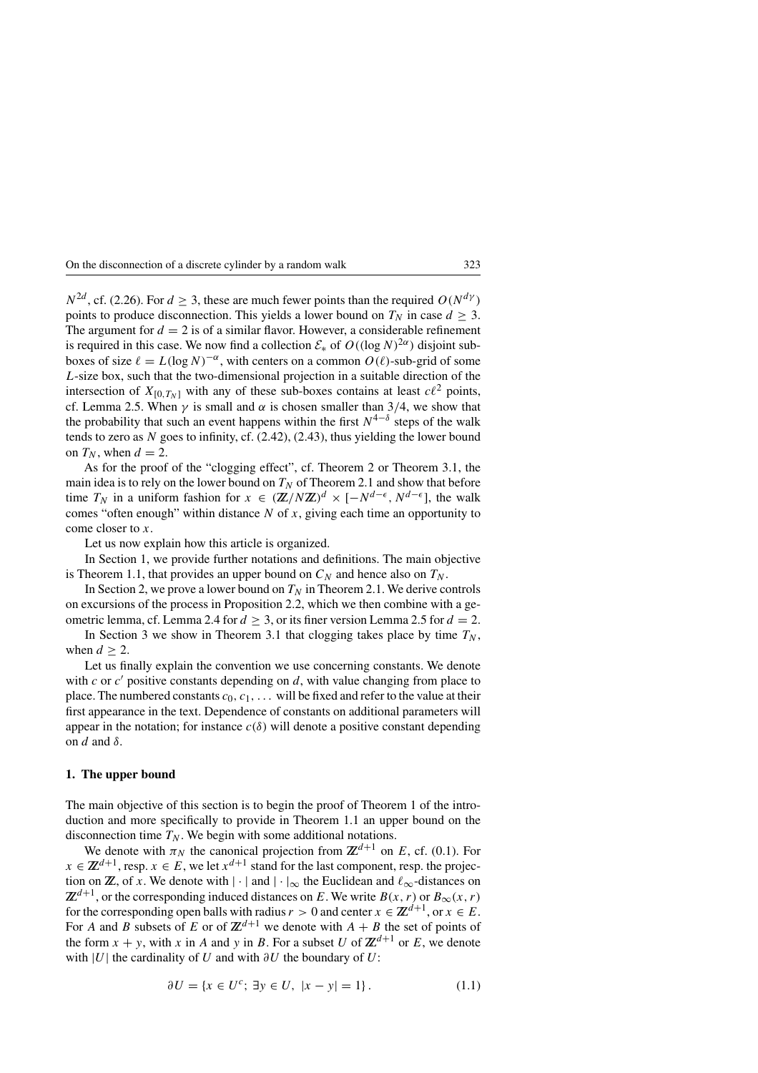$N^{2d}$ , cf. (2.26). For  $d \geq 3$ , these are much fewer points than the required  $O(N^{d\gamma})$ points to produce disconnection. This yields a lower bound on  $T_N$  in case  $d \geq 3$ . The argument for  $d = 2$  is of a similar flavor. However, a considerable refinement is required in this case. We now find a collection  $\mathcal{E}_*$  of  $O((\log N)^{2\alpha})$  disjoint subboxes of size  $\ell = L(\log N)^{-\alpha}$ , with centers on a common  $O(\ell)$ -sub-grid of some L-size box, such that the two-dimensional projection in a suitable direction of the intersection of  $X_{[0,T_N]}$  with any of these sub-boxes contains at least  $c\ell^2$  points, cf. Lemma 2.5. When  $\gamma$  is small and  $\alpha$  is chosen smaller than 3/4, we show that the probability that such an event happens within the first  $N^{4-\delta}$  steps of the walk tends to zero as  $N$  goes to infinity, cf.  $(2.42)$ ,  $(2.43)$ , thus yielding the lower bound on  $T_N$ , when  $d = 2$ .

As for the proof of the "clogging effect", cf. Theorem 2 or Theorem 3.1, the main idea is to rely on the lower bound on  $T_N$  of Theorem 2.1 and show that before time  $T_N$  in a uniform fashion for  $x \in (\mathbb{Z}/N\mathbb{Z})^d \times [-N^{d-\epsilon}, N^{d-\epsilon}]$ , the walk comes "often enough" within distance  $N$  of  $x$ , giving each time an opportunity to come closer to x.

Let us now explain how this article is organized.

In Section 1, we provide further notations and definitions. The main objective is Theorem 1.1, that provides an upper bound on  $C_N$  and hence also on  $T_N$ .

In Section 2, we prove a lower bound on  $T_N$  in Theorem 2.1. We derive controls on excursions of the process in Proposition 2.2, which we then combine with a geometric lemma, cf. Lemma 2.4 for  $d \geq 3$ , or its finer version Lemma 2.5 for  $d = 2$ .

In Section 3 we show in Theorem 3.1 that clogging takes place by time  $T_N$ , when  $d > 2$ .

Let us finally explain the convention we use concerning constants. We denote with c or  $c'$  positive constants depending on d, with value changing from place to place. The numbered constants  $c_0, c_1, \ldots$  will be fixed and refer to the value at their first appearance in the text. Dependence of constants on additional parameters will appear in the notation; for instance  $c(\delta)$  will denote a positive constant depending on d and  $\delta$ .

#### **1. The upper bound**

The main objective of this section is to begin the proof of Theorem 1 of the introduction and more specifically to provide in Theorem 1.1 an upper bound on the disconnection time  $T_N$ . We begin with some additional notations.

We denote with  $\pi_N$  the canonical projection from  $\mathbb{Z}^{d+1}$  on E, cf. (0.1). For  $x \in \mathbb{Z}^{d+1}$ , resp.  $x \in E$ , we let  $x^{d+1}$  stand for the last component, resp. the projection on **Z**, of x. We denote with  $|\cdot|$  and  $|\cdot|_{\infty}$  the Euclidean and  $\ell_{\infty}$ -distances on  $\mathbb{Z}^{d+1}$ , or the corresponding induced distances on E. We write  $B(x, r)$  or  $B_{\infty}(x, r)$ for the corresponding open balls with radius  $r > 0$  and center  $x \in \mathbb{Z}^{d+1}$ , or  $x \in E$ . For A and B subsets of E or of  $\mathbb{Z}^{d+1}$  we denote with  $A + B$  the set of points of the form  $x + y$ , with x in A and y in B. For a subset U of  $\mathbb{Z}^{d+1}$  or E, we denote with |U| the cardinality of U and with  $\partial U$  the boundary of U:

$$
\partial U = \{ x \in U^c; \ \exists y \in U, \ |x - y| = 1 \}. \tag{1.1}
$$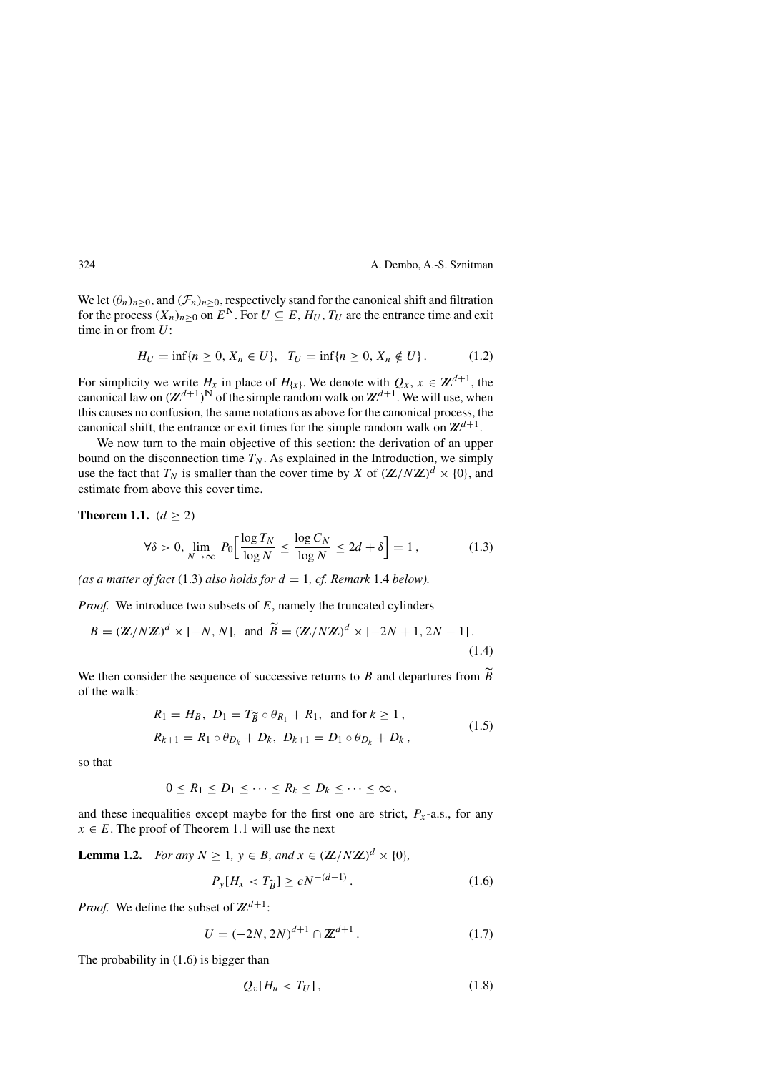We let  $(\theta_n)_{n\geq 0}$ , and  $(\mathcal{F}_n)_{n\geq 0}$ , respectively stand for the canonical shift and filtration for the process  $(X_n)_{n>0}$  on  $E^N$ . For  $U \subseteq E$ ,  $H_U$ ,  $T_U$  are the entrance time and exit time in or from  $U$ :

$$
H_U = \inf\{n \ge 0, X_n \in U\}, \quad T_U = \inf\{n \ge 0, X_n \notin U\}.
$$
 (1.2)

For simplicity we write  $H_x$  in place of  $H_{\{x\}}$ . We denote with  $Q_x$ ,  $x \in \mathbb{Z}^{d+1}$ , the canonical law on  $(\mathbb{Z}^{d+1})^N$  of the simple random walk on  $\mathbb{Z}^{d+1}$ . We will use, when this causes no confusion, the same notations as above for the canonical process, the canonical shift, the entrance or exit times for the simple random walk on  $\mathbb{Z}^{d+1}$ .

We now turn to the main objective of this section: the derivation of an upper bound on the disconnection time  $T_N$ . As explained in the Introduction, we simply use the fact that  $T_N$  is smaller than the cover time by X of  $(\mathbb{Z}/N\mathbb{Z})^d \times \{0\}$ , and estimate from above this cover time.

**Theorem 1.1.**  $(d \ge 2)$ 

$$
\forall \delta > 0, \lim_{N \to \infty} P_0 \left[ \frac{\log T_N}{\log N} \le \frac{\log C_N}{\log N} \le 2d + \delta \right] = 1, \tag{1.3}
$$

(as a matter of fact  $(1.3)$  also holds for  $d = 1$ , cf. Remark 1.4 below).

*Proof.* We introduce two subsets of E, namely the truncated cylinders

$$
B = (\mathbb{Z}/N\mathbb{Z})^d \times [-N, N], \text{ and } \widetilde{B} = (\mathbb{Z}/N\mathbb{Z})^d \times [-2N + 1, 2N - 1].
$$
\n(1.4)

We then consider the sequence of successive returns to B and departures from  $\widetilde{B}$ of the walk:

$$
R_1 = H_B, \ D_1 = T_{\widetilde{B}} \circ \theta_{R_1} + R_1, \text{ and for } k \ge 1,
$$
  

$$
R_{k+1} = R_1 \circ \theta_{D_k} + D_k, \ D_{k+1} = D_1 \circ \theta_{D_k} + D_k,
$$
 (1.5)

so that

$$
0\leq R_1\leq D_1\leq\cdots\leq R_k\leq D_k\leq\cdots\leq\infty\,,
$$

and these inequalities except maybe for the first one are strict,  $P_x$ -a.s., for any  $x \in E$ . The proof of Theorem 1.1 will use the next

**Lemma 1.2.** *For any*  $N \ge 1$ *,*  $y \in B$ *, and*  $x \in (\mathbb{Z}/N\mathbb{Z})^d \times \{0\}$ *,* 

$$
P_{\mathcal{Y}}[H_x < T_{\widetilde{B}}] \ge c N^{-(d-1)}\,. \tag{1.6}
$$

*Proof.* We define the subset of  $\mathbb{Z}^{d+1}$ :

$$
U = (-2N, 2N)^{d+1} \cap \mathbb{Z}^{d+1}.
$$
 (1.7)

The probability in (1.6) is bigger than

$$
Q_v[H_u < T_U],\tag{1.8}
$$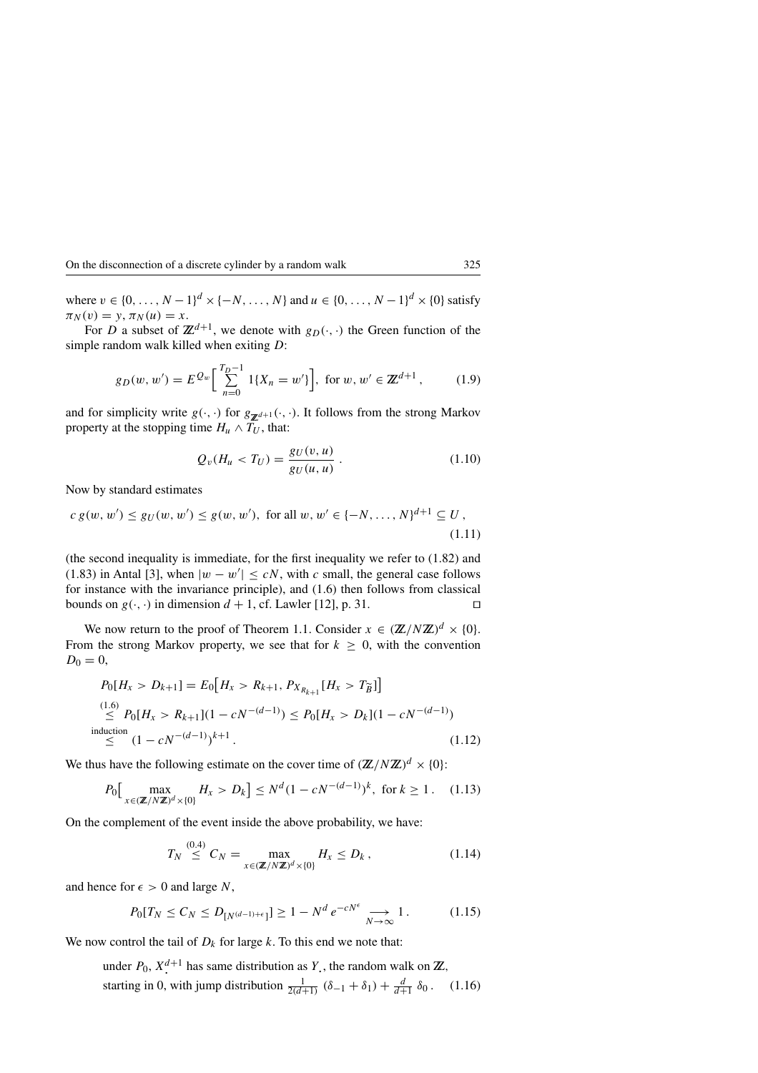where  $v \in \{0, ..., N-1\}^d \times \{-N, ..., N\}$  and  $u \in \{0, ..., N-1\}^d \times \{0\}$  satisfy  $\pi_N(v) = y, \pi_N(u) = x.$ 

For D a subset of  $\mathbb{Z}^{d+1}$ , we denote with  $g_D(\cdot, \cdot)$  the Green function of the simple random walk killed when exiting D:

$$
g_D(w, w') = E^{Q_w} \left[ \sum_{n=0}^{T_D - 1} 1\{X_n = w'\} \right], \text{ for } w, w' \in \mathbb{Z}^{d+1}, \quad (1.9)
$$

and for simplicity write  $g(\cdot, \cdot)$  for  $g_{\mathbf{Z}^{d+1}}(\cdot, \cdot)$ . It follows from the strong Markov property at the stopping time  $H_u \wedge T_U$ , that:

$$
Q_v(H_u < T_U) = \frac{g_U(v, u)}{g_U(u, u)}.
$$
\n(1.10)

Now by standard estimates

$$
c g(w, w') \le g_U(w, w') \le g(w, w'), \text{ for all } w, w' \in \{-N, \dots, N\}^{d+1} \subseteq U,
$$
\n(1.11)

(the second inequality is immediate, for the first inequality we refer to (1.82) and (1.83) in Antal [3], when  $|w - w'| \leq cN$ , with c small, the general case follows for instance with the invariance principle), and (1.6) then follows from classical bounds on  $g(\cdot, \cdot)$  in dimension  $d + 1$ , cf. Lawler [12], p. 31.

We now return to the proof of Theorem 1.1. Consider  $x \in (\mathbb{Z}/N\mathbb{Z})^d \times \{0\}$ . From the strong Markov property, we see that for  $k \geq 0$ , with the convention  $D_0 = 0,$  $\overline{a}$  $\overline{a}$ 

$$
P_0[H_x > D_{k+1}] = E_0[H_x > R_{k+1}, P_{X_{R_{k+1}}}[H_x > T_{\tilde{B}}]]
$$
  
\n
$$
\leq P_0[H_x > R_{k+1}](1 - cN^{-(d-1)}) \leq P_0[H_x > D_k](1 - cN^{-(d-1)})
$$
  
\ninduction  
\n
$$
\leq (1 - cN^{-(d-1)})^{k+1}.
$$
\n(1.12)

We thus have the following estimate on the cover time of  $(\mathbb{Z}/N\mathbb{Z})^d \times \{0\}$ :

$$
P_0\left[\max_{x \in (\mathbb{Z}/N\mathbb{Z})^d \times \{0\}} H_x > D_k\right] \le N^d (1 - cN^{-(d-1)})^k, \text{ for } k \ge 1. \tag{1.13}
$$

On the complement of the event inside the above probability, we have:

$$
T_N \stackrel{(0.4)}{\leq} C_N = \max_{x \in (\mathbb{Z}/N\mathbb{Z})^d \times \{0\}} H_x \leq D_k ,
$$
 (1.14)

and hence for  $\epsilon > 0$  and large N,

$$
P_0[T_N \leq C_N \leq D_{[N^{(d-1)+\epsilon}]}] \geq 1 - N^d e^{-cN^{\epsilon}} \longrightarrow_{N \to \infty} 1. \tag{1.15}
$$

We now control the tail of  $D_k$  for large k. To this end we note that:

under  $P_0$ ,  $X^{d+1}$  has same distribution as Y, the random walk on  $\mathbb{Z}$ , starting in 0, with jump distribution  $\frac{1}{2(d+1)} (\delta_{-1} + \delta_1) + \frac{d}{d+1} \delta_0$ . (1.16)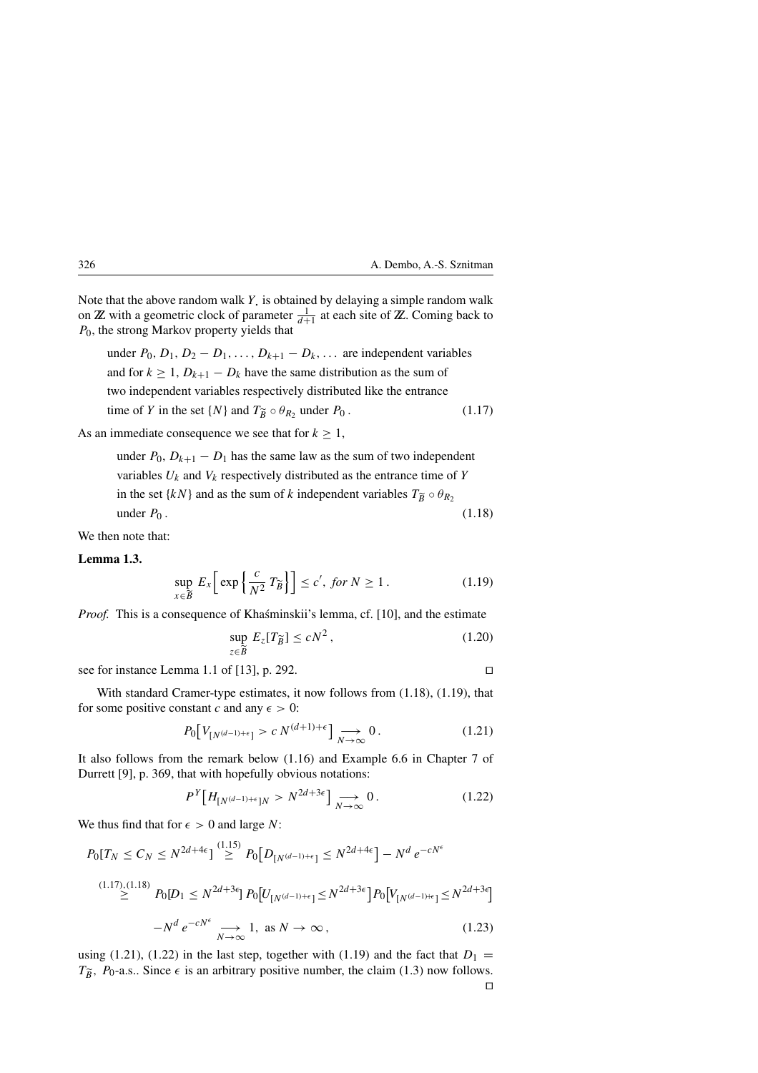Note that the above random walk  $Y<sub>i</sub>$  is obtained by delaying a simple random walk on **Z** with a geometric clock of parameter  $\frac{1}{d+1}$  at each site of **Z**. Coming back to  $P_0$ , the strong Markov property yields that

under  $P_0$ ,  $D_1$ ,  $D_2 - D_1$ , ...,  $D_{k+1} - D_k$ , ... are independent variables and for  $k \ge 1$ ,  $D_{k+1} - D_k$  have the same distribution as the sum of two independent variables respectively distributed like the entrance time of Y in the set  $\{N\}$  and  $T_{\widetilde{B}} \circ \theta_{R_2}$  under  $P_0$ . (1.17)

As an immediate consequence we see that for  $k \geq 1$ ,

under  $P_0$ ,  $D_{k+1} - D_1$  has the same law as the sum of two independent variables  $U_k$  and  $V_k$  respectively distributed as the entrance time of Y in the set  $\{kN\}$  and as the sum of k independent variables  $T_{\widetilde{B}} \circ \theta_{R_2}$ under  $P_0$ .  $(1.18)$ 

We then note that:

**Lemma 1.3.**

$$
\sup_{x \in \widetilde{B}} E_x \left[ \exp \left\{ \frac{c}{N^2} T_{\widetilde{B}} \right\} \right] \le c', \text{ for } N \ge 1. \tag{1.19}
$$

*Proof.* This is a consequence of Khaśminskii's lemma, cf. [10], and the estimate

$$
\sup_{z \in \widetilde{B}} E_z[T_{\widetilde{B}}] \le cN^2, \tag{1.20}
$$

see for instance Lemma 1.1 of [13], p. 292.

With standard Cramer-type estimates, it now follows from (1.18), (1.19), that for some positive constant 
$$
c
$$
 and any  $\epsilon > 0$ :

$$
P_0[V_{[N^{(d-1)+\epsilon}]}>c N^{(d+1)+\epsilon}] \underset{N \to \infty}{\longrightarrow} 0. \tag{1.21}
$$

It also follows from the remark below (1.16) and Example 6.6 in Chapter 7 of Durrett [9], p. 369, that with hopefully obvious notations:

$$
P^{Y}[H_{[N^{(d-1)+\epsilon}]N} > N^{2d+3\epsilon}] \underset{N \to \infty}{\longrightarrow} 0.
$$
 (1.22)

We thus find that for  $\epsilon > 0$  and large N:

$$
P_0[T_N \le C_N \le N^{2d+4\epsilon}] \stackrel{(1.15)}{\ge} P_0[D_{[N^{(d-1)+\epsilon}]} \le N^{2d+4\epsilon}] - N^d e^{-cN^{\epsilon}}
$$
  
\n
$$
\stackrel{(1.17),(1.18)}{\ge} P_0[D_1 \le N^{2d+3\epsilon}] P_0[U_{[N^{(d-1)+\epsilon}]} \le N^{2d+3\epsilon}] P_0[V_{[N^{(d-1)+\epsilon}]} \le N^{2d+3\epsilon}]
$$
  
\n
$$
-N^d e^{-cN^{\epsilon}} \implies 1, \text{ as } N \to \infty,
$$
  
\n(1.23)

using (1.21), (1.22) in the last step, together with (1.19) and the fact that  $D_1 =$  $T_{\tilde{B}}$ ,  $P_0$ -a.s.. Since  $\epsilon$  is an arbitrary positive number, the claim (1.3) now follows.  $\Box$ 

$$
\Box
$$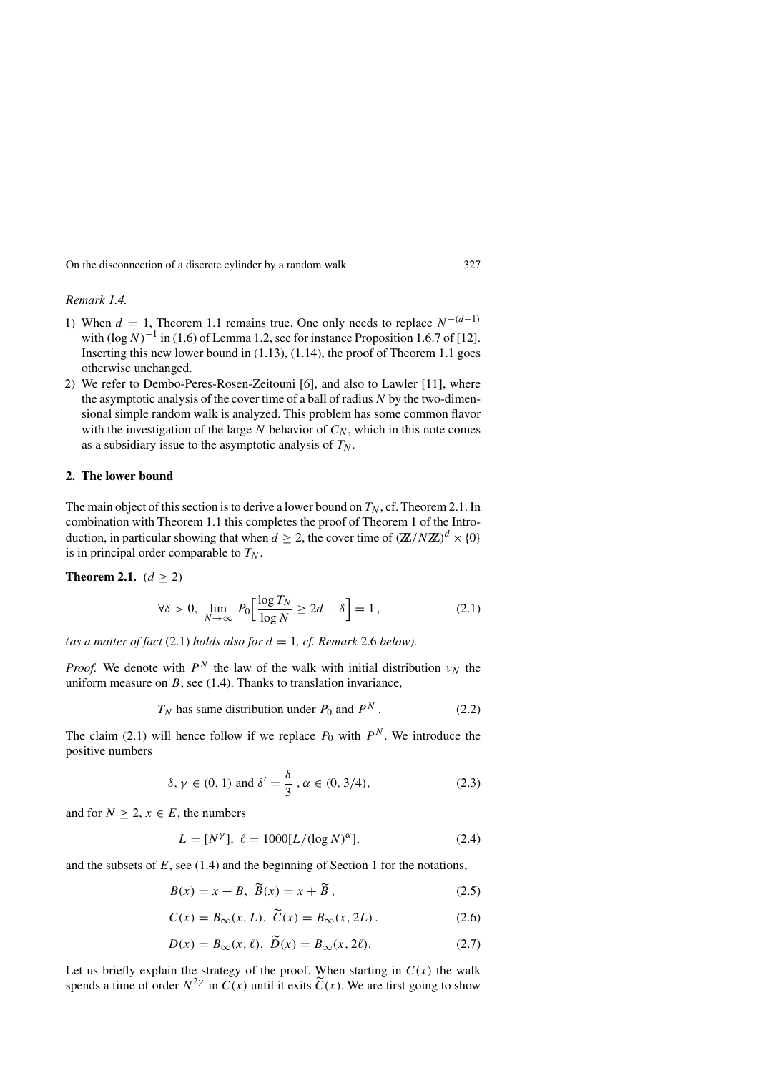*Remark 1.4.*

- 1) When  $d = 1$ , Theorem 1.1 remains true. One only needs to replace  $N^{-(d-1)}$ with  $(\log N)^{-1}$  in (1.6) of Lemma 1.2, see for instance Proposition 1.6.7 of [12]. Inserting this new lower bound in  $(1.13)$ ,  $(1.14)$ , the proof of Theorem 1.1 goes otherwise unchanged.
- 2) We refer to Dembo-Peres-Rosen-Zeitouni [6], and also to Lawler [11], where the asymptotic analysis of the cover time of a ball of radius  $N$  by the two-dimensional simple random walk is analyzed. This problem has some common flavor with the investigation of the large  $N$  behavior of  $C_N$ , which in this note comes as a subsidiary issue to the asymptotic analysis of  $T_N$ .

#### **2. The lower bound**

The main object of this section is to derive a lower bound on  $T_N$ , cf. Theorem 2.1. In combination with Theorem 1.1 this completes the proof of Theorem 1 of the Introduction, in particular showing that when  $d \geq 2$ , the cover time of  $(\mathbb{Z}/N\mathbb{Z})^d \times \{0\}$ is in principal order comparable to  $T_N$ .

**Theorem 2.1.**  $(d \ge 2)$ 

$$
\forall \delta > 0, \lim_{N \to \infty} P_0 \left[ \frac{\log T_N}{\log N} \ge 2d - \delta \right] = 1, \tag{2.1}
$$

(as a matter of fact  $(2.1)$  *holds also for*  $d = 1$ , *cf. Remark* 2.6 *below*).

*Proof.* We denote with  $P^N$  the law of the walk with initial distribution  $v_N$  the uniform measure on  $B$ , see (1.4). Thanks to translation invariance,

$$
T_N
$$
 has same distribution under  $P_0$  and  $P^N$ . (2.2)

The claim (2.1) will hence follow if we replace  $P_0$  with  $P^N$ . We introduce the positive numbers

$$
\delta, \gamma \in (0, 1) \text{ and } \delta' = \frac{\delta}{3}, \alpha \in (0, 3/4),
$$
\n(2.3)

and for  $N \geq 2$ ,  $x \in E$ , the numbers

$$
L = [N^{\gamma}], \ \ell = 1000[L/(\log N)^{\alpha}], \tag{2.4}
$$

and the subsets of  $E$ , see (1.4) and the beginning of Section 1 for the notations,

$$
B(x) = x + B, \ \widetilde{B}(x) = x + \widetilde{B}, \tag{2.5}
$$

$$
C(x) = B_{\infty}(x, L), \ \widetilde{C}(x) = B_{\infty}(x, 2L). \tag{2.6}
$$

$$
D(x) = B_{\infty}(x, \ell), \ \widetilde{D}(x) = B_{\infty}(x, 2\ell). \tag{2.7}
$$

Let us briefly explain the strategy of the proof. When starting in  $C(x)$  the walk spends a time of order  $N^{2\gamma}$  in  $C(x)$  until it exits  $\tilde{C}(x)$ . We are first going to show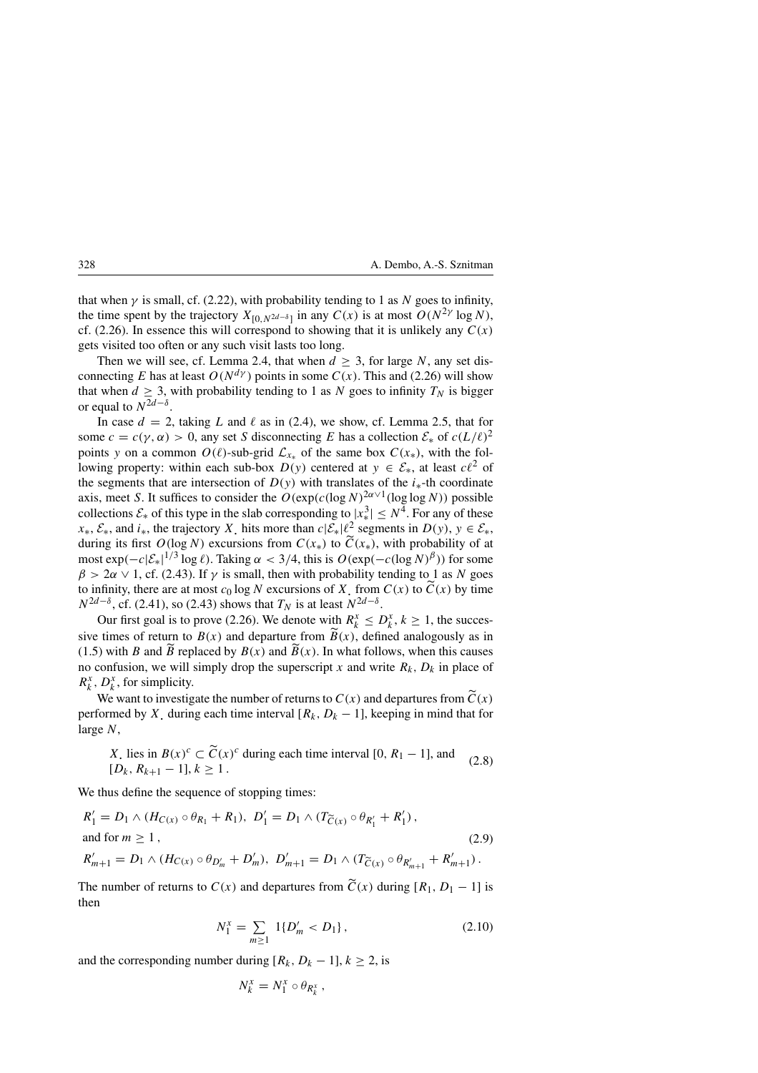that when  $\gamma$  is small, cf. (2.22), with probability tending to 1 as N goes to infinity, the time spent by the trajectory  $X_{[0,N^{2d-\delta}]}$  in any  $C(x)$  is at most  $O(N^{2\gamma} \log N)$ , cf. (2.26). In essence this will correspond to showing that it is unlikely any  $C(x)$ gets visited too often or any such visit lasts too long.

Then we will see, cf. Lemma 2.4, that when  $d \geq 3$ , for large N, any set disconnecting E has at least  $O(N^{d\gamma})$  points in some  $C(x)$ . This and (2.26) will show that when  $d \geq 3$ , with probability tending to 1 as N goes to infinity  $T_N$  is bigger or equal to  $N^{2d-\delta}$ .

In case  $d = 2$ , taking L and  $\ell$  as in (2.4), we show, cf. Lemma 2.5, that for some  $c = c(\gamma, \alpha) > 0$ , any set S disconnecting E has a collection  $\mathcal{E}_*$  of  $c(L/\ell)^2$ points y on a common  $O(\ell)$ -sub-grid  $\mathcal{L}_{x*}$  of the same box  $C(x_*)$ , with the following property: within each sub-box  $D(y)$  centered at  $y \in \mathcal{E}_{*}$ , at least  $c\ell^{2}$  of the segments that are intersection of  $D(y)$  with translates of the  $i_*$ -th coordinate axis, meet S. It suffices to consider the  $O(\exp(c(\log N)^{2\alpha \vee 1}(\log \log N))$  possible collections  $\mathcal{E}_*$  of this type in the slab corresponding to  $|x_*^3| \le N^4$ . For any of these  $x_*, \mathcal{E}_*,$  and  $i_*$ , the trajectory X, hits more than  $c|\mathcal{E}_*| \ell^2$  segments in  $D(y)$ ,  $y \in \mathcal{E}_*,$ during its first  $O(\log N)$  excursions from  $C(x_*)$  to  $\widetilde{C}(x_*)$ , with probability of at most  $\exp(-c|\mathcal{E}_*|^{1/3} \log \ell)$ . Taking  $\alpha < 3/4$ , this is  $O(\exp(-c(\log N)^{\beta}))$  for some  $\beta > 2\alpha \vee 1$ , cf. (2.43). If  $\gamma$  is small, then with probability tending to 1 as N goes to infinity, there are at most  $c_0$  log N excursions of X, from  $C(x)$  to  $\widetilde{C}(x)$  by time  $N^{2d-\delta}$ , cf. (2.41), so (2.43) shows that  $T_N$  is at least  $N^{2d-\delta}$ .

Our first goal is to prove (2.26). We denote with  $R_k^x \leq D_k^x$ ,  $k \geq 1$ , the successive times of return to  $B(x)$  and departure from  $\widetilde{B}(x)$ , defined analogously as in (1.5) with B and  $\tilde{B}$  replaced by  $B(x)$  and  $\tilde{B}(x)$ . In what follows, when this causes no confusion, we will simply drop the superscript x and write  $R_k$ ,  $D_k$  in place of  $R_k^x$ ,  $D_k^x$ , for simplicity.

We want to investigate the number of returns to  $C(x)$  and departures from  $\tilde{C}(x)$ performed by X. during each time interval  $[R_k, D_k - 1]$ , keeping in mind that for large N,

*X* lies in 
$$
B(x)^c \subset \widetilde{C}(x)^c
$$
 during each time interval [0,  $R_1 - 1$ ], and  $[D_k, R_{k+1} - 1]$ ,  $k \ge 1$ . (2.8)

We thus define the sequence of stopping times:

$$
R'_{1} = D_{1} \wedge (H_{C(x)} \circ \theta_{R_{1}} + R_{1}), \ D'_{1} = D_{1} \wedge (T_{\widetilde{C}(x)} \circ \theta_{R'_{1}} + R'_{1}),
$$
  
and for  $m \ge 1$ , (2.9)  

$$
R'_{m+1} = D_{1} \wedge (H_{C(x)} \circ \theta_{D'_{m}} + D'_{m}), \ D'_{m+1} = D_{1} \wedge (T_{\widetilde{C}(x)} \circ \theta_{R'_{m+1}} + R'_{m+1}).
$$

The number of returns to  $C(x)$  and departures from  $\tilde{C}(x)$  during  $[R_1, D_1 - 1]$  is then

$$
N_1^x = \sum_{m \ge 1} 1\{D'_m < D_1\},\tag{2.10}
$$

and the corresponding number during  $[R_k, D_k - 1], k \ge 2$ , is

$$
N_k^x=N_1^x\circ\theta_{R_k^x},
$$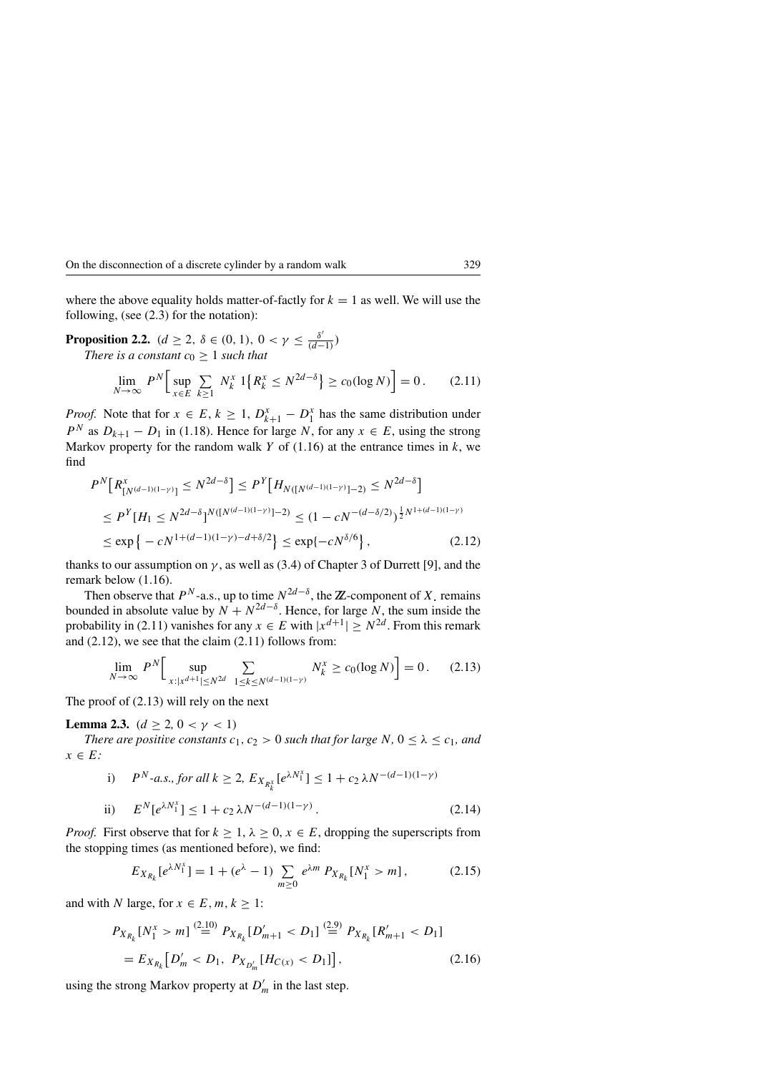where the above equality holds matter-of-factly for  $k = 1$  as well. We will use the following, (see (2.3) for the notation):

**Proposition 2.2.**  $(d \ge 2, \ \delta \in (0, 1), \ 0 < \gamma \le \frac{\delta'}{(d-1)} )$ *There is a constant*  $c_0 \geq 1$  *such that* 

$$
\lim_{N \to \infty} P^N \Big[ \sup_{x \in E} \sum_{k \ge 1} N_k^x \, 1\big\{ R_k^x \le N^{2d - \delta} \big\} \ge c_0(\log N) \Big] = 0. \tag{2.11}
$$

*Proof.* Note that for  $x \in E$ ,  $k \ge 1$ ,  $D_{k+1}^x - D_1^x$  has the same distribution under  $P^N$  as  $D_{k+1} - D_1$  in (1.18). Hence for large N, for any  $x \in E$ , using the strong Markov property for the random walk  $Y$  of (1.16) at the entrance times in  $k$ , we find

$$
P^{N}\left[R_{[N^{(d-1)(1-\gamma)}]}^{x} \le N^{2d-\delta}\right] \le P^{Y}\left[H_{N([N^{(d-1)(1-\gamma)}]-2)} \le N^{2d-\delta}\right]
$$
  
\n
$$
\le P^{Y}\left[H_{1} \le N^{2d-\delta}\right]^{N([N^{(d-1)(1-\gamma)}]-2)} \le (1-cN^{-(d-\delta/2)})^{\frac{1}{2}N^{1+(d-1)(1-\gamma)}}
$$
  
\n
$$
\le \exp\left\{-cN^{1+(d-1)(1-\gamma)-d+\delta/2}\right\} \le \exp\{-cN^{\delta/6}\},
$$
\n(2.12)

thanks to our assumption on  $\gamma$ , as well as (3.4) of Chapter 3 of Durrett [9], and the remark below (1.16).

Then observe that  $P^N$ -a.s., up to time  $N^{2d-\delta}$ , the  $\mathbb{Z}$ -component of X. remains bounded in absolute value by  $N + N^{2d-\delta}$ . Hence, for large N, the sum inside the probability in (2.11) vanishes for any  $x \in E$  with  $|x^{d+1}| \geq N^{2d}$ . From this remark and (2.12), we see that the claim (2.11) follows from:

$$
\lim_{N \to \infty} P^N \Big[ \sup_{x: |x^{d+1}| \le N^{2d}} \sum_{1 \le k \le N^{(d-1)(1-\gamma)}} N_k^x \ge c_0(\log N) \Big] = 0. \tag{2.13}
$$

The proof of (2.13) will rely on the next

**Lemma 2.3.**  $(d \geq 2, 0 < \gamma < 1)$ 

*There are positive constants*  $c_1$ ,  $c_2 > 0$  *such that for large* N,  $0 \le \lambda \le c_1$ *, and*  $x \in E$ :

i) 
$$
P^N
$$
-a.s., for all  $k \ge 2$ ,  $E_{X_{R_k^x}}[e^{\lambda N_1^x}] \le 1 + c_2 \lambda N^{-(d-1)(1-\gamma)}$   
ii)  $E^N[e^{\lambda N_1^x}] \le 1 + c_2 \lambda N^{-(d-1)(1-\gamma)}$ . (2.14)

*Proof.* First observe that for  $k \geq 1$ ,  $\lambda \geq 0$ ,  $x \in E$ , dropping the superscripts from the stopping times (as mentioned before), we find:

$$
E_{X_{R_k}}[e^{\lambda N_1^x}] = 1 + (e^{\lambda} - 1) \sum_{m \ge 0} e^{\lambda m} P_{X_{R_k}}[N_1^x > m], \qquad (2.15)
$$

and with N large, for  $x \in E, m, k \geq 1$ :

$$
P_{X_{R_k}}[N_1^x > m] \stackrel{(2.10)}{=} P_{X_{R_k}}[D'_{m+1} < D_1] \stackrel{(2.9)}{=} P_{X_{R_k}}[R'_{m+1} < D_1]
$$
  
=  $E_{X_{R_k}}[D'_m < D_1, P_{X_{D'_m}}[H_{C(x)} < D_1]],$  (2.16)

using the strong Markov property at  $D'_m$  in the last step.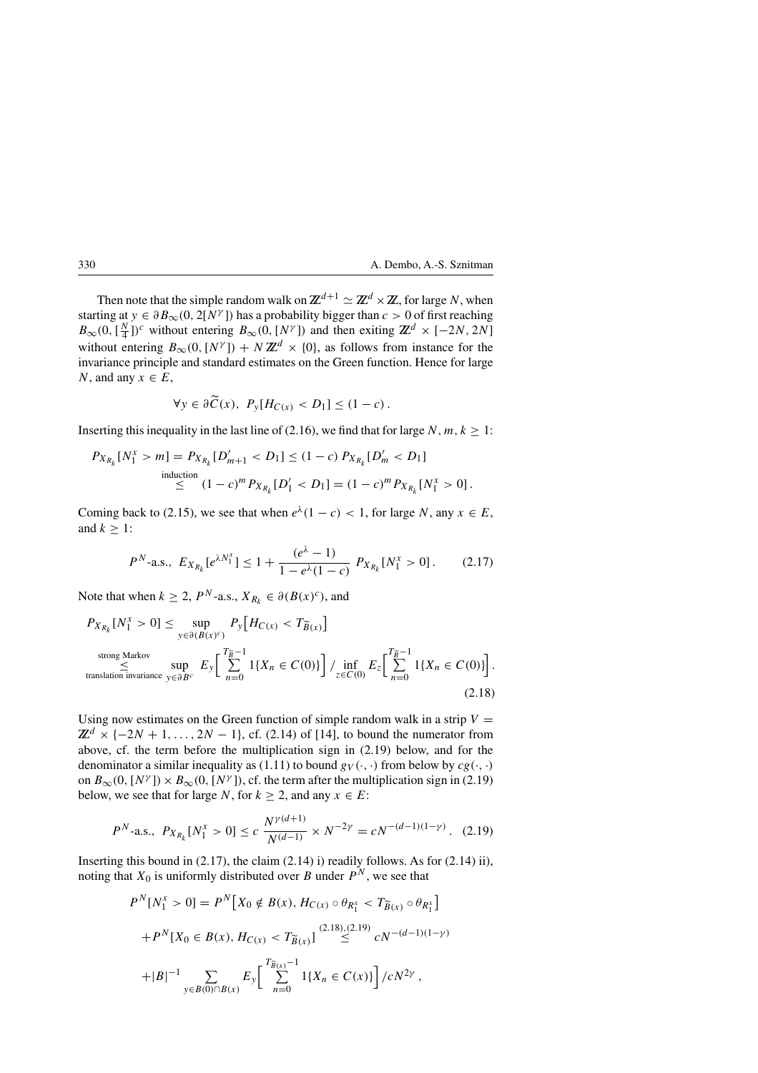Then note that the simple random walk on  $\mathbb{Z}^{d+1} \simeq \mathbb{Z}^d \times \mathbb{Z}$ , for large N, when starting at  $y \in \partial B_{\infty}(0, 2[N^{\gamma}])$  has a probability bigger than  $c > 0$  of first reaching  $B_{\infty}(0, \left[\frac{N}{4}\right])^c$  without entering  $B_{\infty}(0, [N^{\gamma}])$  and then exiting  $\mathbb{Z}^d \times [-2N, 2N]$ without entering  $B_{\infty}(0, [N^{\gamma}]) + N \mathbb{Z}^{d} \times \{0\}$ , as follows from instance for the invariance principle and standard estimates on the Green function. Hence for large N, and any  $x \in E$ ,

$$
\forall y \in \partial \widetilde{C}(x), \ P_y[H_{C(x)} < D_1] \leq (1 - c).
$$

Inserting this inequality in the last line of (2.16), we find that for large N,  $m, k \ge 1$ :

$$
P_{X_{R_k}}[N_1^x > m] = P_{X_{R_k}}[D'_{m+1} < D_1] \le (1 - c) P_{X_{R_k}}[D'_m < D_1]
$$
  
induction  

$$
\le (1 - c)^m P_{X_{R_k}}[D'_1 < D_1] = (1 - c)^m P_{X_{R_k}}[N_1^x > 0].
$$

Coming back to (2.15), we see that when  $e^{\lambda}(1 - c) < 1$ , for large N, any  $x \in E$ , and  $k \geq 1$ :

$$
P^{N}\text{-a.s., } E_{X_{R_k}}[e^{\lambda N_1^x}] \le 1 + \frac{(e^{\lambda}-1)}{1-e^{\lambda}(1-c)} P_{X_{R_k}}[N_1^x > 0]. \tag{2.17}
$$

Note that when  $k \ge 2$ ,  $P^N$ -a.s.,  $X_{R_k} \in \partial (B(x)^c)$ , and

$$
P_{X_{R_k}}[N_1^x > 0] \le \sup_{y \in \partial(B(x)^c)} P_y[H_{C(x)} < T_{\widetilde{B}(x)}]
$$
  
\n
$$
\le \sup_{\text{translation invariance}} E_y\left[\sum_{n=0}^{T_{\widetilde{B}}-1} 1\{X_n \in C(0)\}\right] / \inf_{z \in C(0)} E_z\left[\sum_{n=0}^{T_{\widetilde{B}}-1} 1\{X_n \in C(0)\}\right].
$$
\n(2.18)

Using now estimates on the Green function of simple random walk in a strip  $V =$  $\mathbb{Z}^d$  × { $-2N+1, \ldots, 2N-1$ }, cf. (2.14) of [14], to bound the numerator from above, cf. the term before the multiplication sign in (2.19) below, and for the denominator a similar inequality as (1.11) to bound  $g_V(\cdot, \cdot)$  from below by  $cg(\cdot, \cdot)$ on  $B_{\infty}(0, [N^{\gamma}]) \times B_{\infty}(0, [N^{\gamma}])$ , cf. the term after the multiplication sign in (2.19) below, we see that for large N, for  $k \ge 2$ , and any  $x \in E$ :

$$
P^{N}\text{-a.s., } P_{X_{R_k}}[N_1^x > 0] \le c \frac{N^{\gamma(d+1)}}{N^{(d-1)}} \times N^{-2\gamma} = cN^{-(d-1)(1-\gamma)}. (2.19)
$$

Inserting this bound in  $(2.17)$ , the claim  $(2.14)$  i) readily follows. As for  $(2.14)$  ii), noting that  $X_0$  is uniformly distributed over B under  $P^N$ , we see that

$$
P^{N}[N_{1}^{x} > 0] = P^{N}[X_{0} \notin B(x), H_{C(x)} \circ \theta_{R_{1}^{x}} < T_{\widetilde{B}(x)} \circ \theta_{R_{1}^{x}}]
$$
  
+ 
$$
P^{N}[X_{0} \in B(x), H_{C(x)} < T_{\widetilde{B}(x)}] \stackrel{(2.18),(2.19)}{\leq} cN^{-(d-1)(1-\gamma)}
$$
  
+
$$
|B|^{-1} \sum_{y \in B(0) \cap B(x)} E_{y} \left[ \sum_{n=0}^{T_{\widetilde{B}(x)}-1} 1\{X_{n} \in C(x)\} \right] / cN^{2\gamma},
$$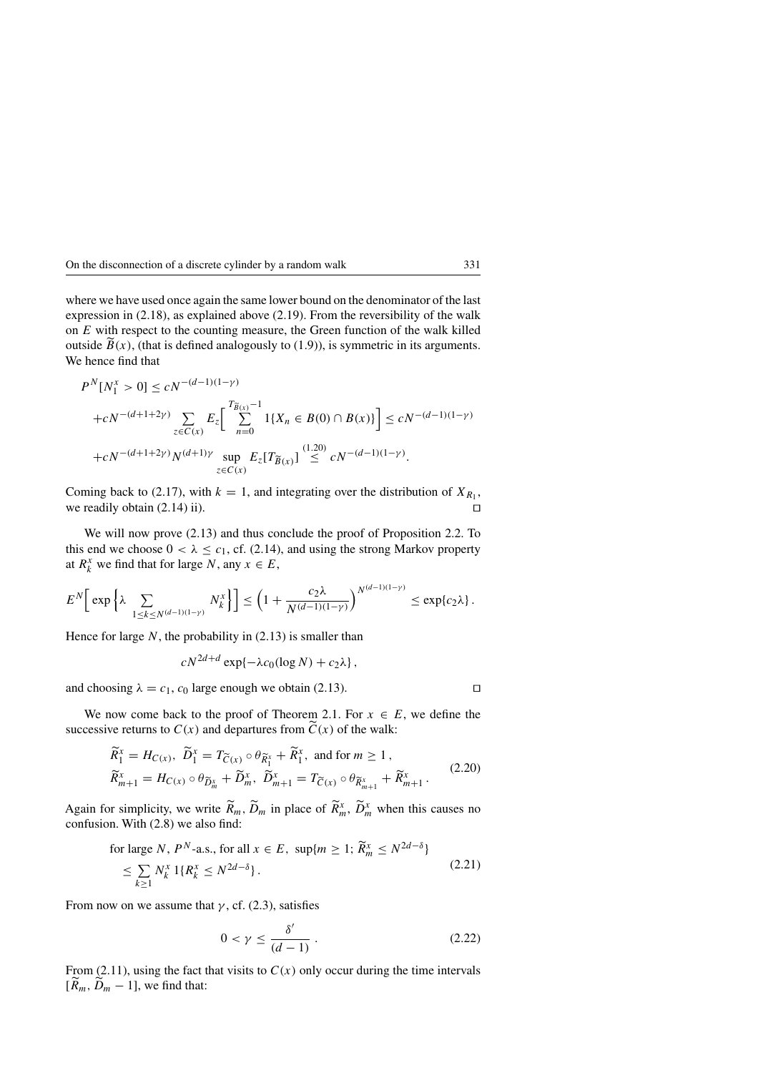where we have used once again the same lower bound on the denominator of the last expression in (2.18), as explained above (2.19). From the reversibility of the walk on  $E$  with respect to the counting measure, the Green function of the walk killed outside  $B(x)$ , (that is defined analogously to (1.9)), is symmetric in its arguments. We hence find that

$$
P^{N}[N_{1}^{x} > 0] \le cN^{-(d-1)(1-\gamma)}
$$
  
+ $cN^{-(d+1+2\gamma)} \sum_{z \in C(x)} E_{z} \Bigg[ \sum_{n=0}^{T_{\widetilde{B}(x)}-1} 1\{X_{n} \in B(0) \cap B(x)\} \Bigg] \le cN^{-(d-1)(1-\gamma)}$   
+ $cN^{-(d+1+2\gamma)} N^{(d+1)\gamma} \sup_{z \in C(x)} E_{z}[T_{\widetilde{B}(x)}] \stackrel{(1.20)}{\le} cN^{-(d-1)(1-\gamma)}.$ 

Coming back to (2.17), with  $k = 1$ , and integrating over the distribution of  $X_{R_1}$ , we readily obtain (2.14) ii).

We will now prove (2.13) and thus conclude the proof of Proposition 2.2. To this end we choose  $0 < \lambda \leq c_1$ , cf. (2.14), and using the strong Markov property at  $R_k^x$  we find that for large N, any  $x \in E$ ,

$$
E^N\bigg[\exp\bigg\{\lambda \sum_{1\leq k\leq N^{(d-1)(1-\gamma)}} N_k^x\bigg\}\bigg]\leq \bigg(1+\frac{c_2\lambda}{N^{(d-1)(1-\gamma)}}\bigg)^{N^{(d-1)(1-\gamma)}}\leq \exp\{c_2\lambda\}\,.
$$

Hence for large  $N$ , the probability in  $(2.13)$  is smaller than

$$
cN^{2d+d}\exp\{-\lambda c_0(\log N)+c_2\lambda\},\,
$$

and choosing  $\lambda = c_1$ ,  $c_0$  large enough we obtain (2.13).

We now come back to the proof of Theorem 2.1. For  $x \in E$ , we define the successive returns to  $C(x)$  and departures from  $\tilde{C}(x)$  of the walk:

$$
\widetilde{R}_{1}^{x} = H_{C(x)}, \ \widetilde{D}_{1}^{x} = T_{\widetilde{C}(x)} \circ \theta_{\widetilde{R}_{1}^{x}} + \widetilde{R}_{1}^{x}, \text{ and for } m \ge 1,
$$
\n
$$
\widetilde{R}_{m+1}^{x} = H_{C(x)} \circ \theta_{\widetilde{D}_{m}^{x}} + \widetilde{D}_{m}^{x}, \ \widetilde{D}_{m+1}^{x} = T_{\widetilde{C}(x)} \circ \theta_{\widetilde{R}_{m+1}^{x}} + \widetilde{R}_{m+1}^{x}.
$$
\n(2.20)

Again for simplicity, we write  $\widetilde{R}_m$ ,  $\widetilde{D}_m$  in place of  $\widetilde{R}_m^x$ ,  $\widetilde{D}_m^x$  when this causes no confusion. With (2.8) we also find:

for large *N*, *P<sup>N</sup>*-a.s., for all 
$$
x \in E
$$
,  $\sup\{m \ge 1; \widetilde{R}_m^x \le N^{2d-\delta}\}\$   
 $\le \sum_{k \ge 1} N_k^x 1\{R_k^x \le N^{2d-\delta}\}.$  (2.21)

From now on we assume that  $\gamma$ , cf. (2.3), satisfies

$$
0 < \gamma \le \frac{\delta'}{(d-1)} \,. \tag{2.22}
$$

From (2.11), using the fact that visits to  $C(x)$  only occur during the time intervals  $[\widetilde{R}_m, \widetilde{D}_m - 1]$ , we find that: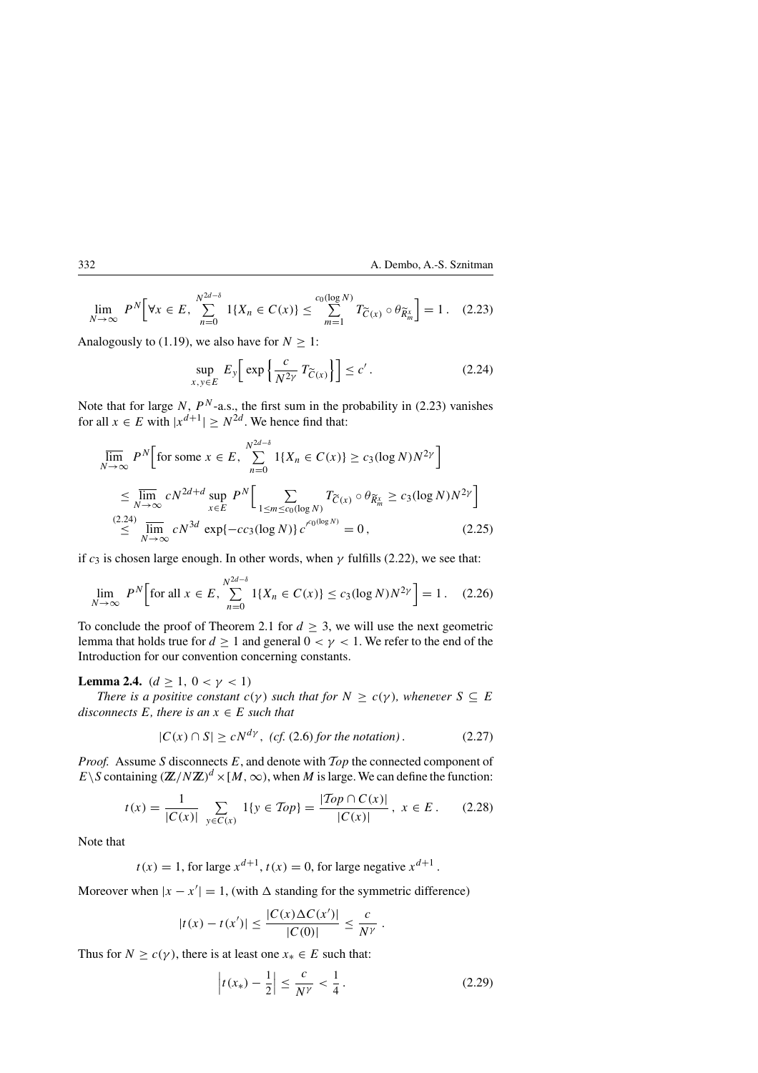$$
\lim_{N \to \infty} P^N \Big[ \forall x \in E, \sum_{n=0}^{N^{2d-\delta}} 1\{X_n \in C(x)\} \le \sum_{m=1}^{c_0(\log N)} T_{\widetilde{C}(x)} \circ \theta_{\widetilde{R}_m^x} \Big] = 1. \quad (2.23)
$$

Analogously to (1.19), we also have for  $N \geq 1$ : -

$$
\sup_{x,y\in E} E_y \left[ \exp\left\{ \frac{c}{N^2 \gamma} T_{\widetilde{C}(x)} \right\} \right] \le c' \,. \tag{2.24}
$$

Note that for large N,  $P^N$ -a.s., the first sum in the probability in (2.23) vanishes for all  $x \in E$  with  $|x^{d+1}| \geq N^{2d}$ . We hence find that:

$$
\overline{\lim}_{N \to \infty} P^N \Big[ \text{for some } x \in E, \sum_{n=0}^{N^{2d - \delta}} 1\{X_n \in C(x)\} \ge c_3(\log N) N^{2\gamma} \Big]
$$
  
\n
$$
\le \overline{\lim}_{N \to \infty} c N^{2d + d} \sup_{x \in E} P^N \Big[ \sum_{1 \le m \le c_0(\log N)} T_{\widetilde{C}(x)} \circ \theta_{\widetilde{R}_m^x} \ge c_3(\log N) N^{2\gamma} \Big]
$$
  
\n(2.24)  
\n
$$
\le \overline{\lim}_{N \to \infty} c N^{3d} \exp\{-cc_3(\log N)\} c'^{c_0(\log N)} = 0, \qquad (2.25)
$$

if  $c_3$  is chosen large enough. In other words, when  $\gamma$  fulfills (2.22), we see that:

$$
\lim_{N \to \infty} P^N \Big[ \text{for all } x \in E, \sum_{n=0}^{N^{2d-\delta}} 1\{X_n \in C(x)\} \le c_3 (\log N) N^{2\gamma} \Big] = 1. \quad (2.26)
$$

To conclude the proof of Theorem 2.1 for  $d \geq 3$ , we will use the next geometric lemma that holds true for  $d \ge 1$  and general  $0 < \gamma < 1$ . We refer to the end of the Introduction for our convention concerning constants.

**Lemma 2.4.**  $(d \geq 1, 0 < \gamma < 1)$ 

*There is a positive constant*  $c(\gamma)$  *such that for*  $N \geq c(\gamma)$ *, whenever*  $S \subseteq E$ *disconnects*  $E$ *, there is an*  $x \in E$  *such that* 

$$
|C(x) \cap S| \ge cN^{d\gamma}, \text{ (cf. (2.6) for the notation)}.
$$
 (2.27)

*Proof.* Assume S disconnects  $E$ , and denote with  $\mathcal{T}_{OP}$  the connected component of E\S containing  $(\mathbb{Z}/N\mathbb{Z})^d \times [M,\infty)$ , when M is large. We can define the function:

$$
t(x) = \frac{1}{|C(x)|} \sum_{y \in C(x)} 1\{y \in Top\} = \frac{|Top \cap C(x)|}{|C(x)|}, \ x \in E. \tag{2.28}
$$

Note that

 $t(x) = 1$ , for large  $x^{d+1}$ ,  $t(x) = 0$ , for large negative  $x^{d+1}$ .

Moreover when  $|x - x'| = 1$ , (with  $\Delta$  standing for the symmetric difference)

$$
|t(x) - t(x')| \le \frac{|C(x)\Delta C(x')|}{|C(0)|} \le \frac{c}{N^{\gamma}}.
$$

Thus for  $N \geq c(\gamma)$ , there is at least one  $x_* \in E$  such that:

$$
\left| t(x_*) - \frac{1}{2} \right| \le \frac{c}{N^{\gamma}} < \frac{1}{4}.
$$
 (2.29)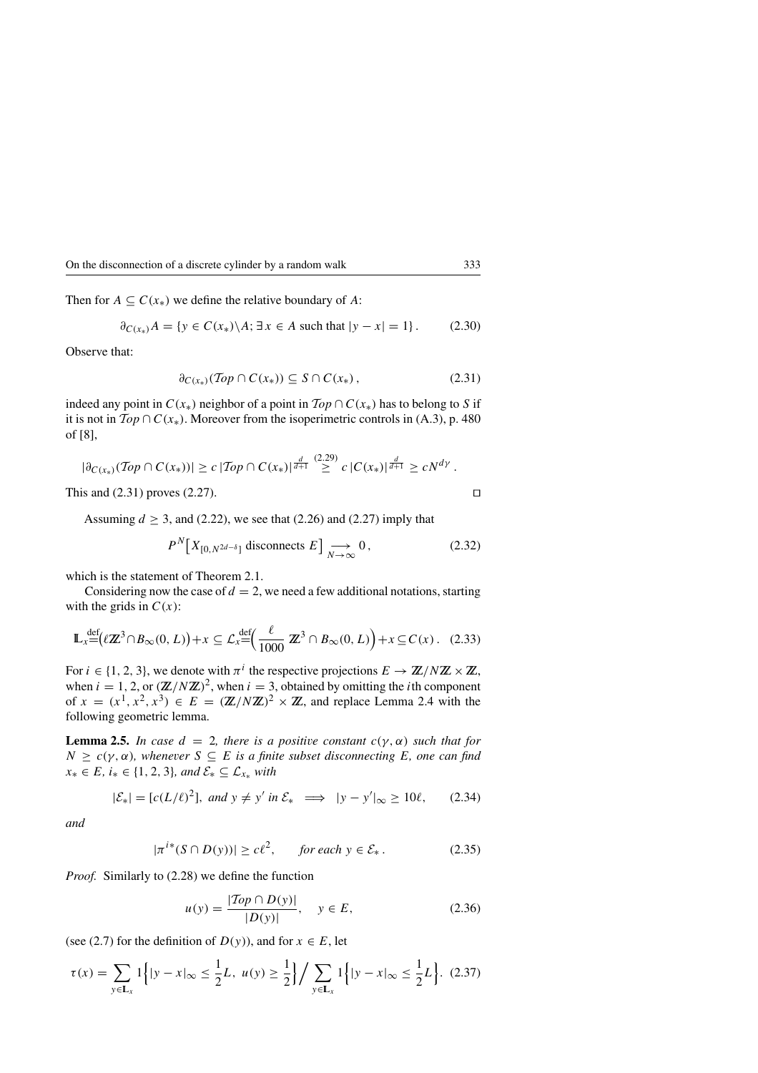Then for  $A \subseteq C(x_*)$  we define the relative boundary of A:

$$
\partial_{C(x_*)} A = \{ y \in C(x_*) \setminus A; \exists x \in A \text{ such that } |y - x| = 1 \}. \tag{2.30}
$$

Observe that:

$$
\partial_{C(x_*)} (\mathcal{T}op \cap C(x_*)) \subseteq S \cap C(x_*)\,,\tag{2.31}
$$

indeed any point in  $C(x_*)$  neighbor of a point in  $Top \cap C(x_*)$  has to belong to S if it is not in  $\mathcal{T}_{op} \cap C(x_*)$ . Moreover from the isoperimetric controls in (A.3), p. 480 of [8],

$$
|\partial_{C(x_*)}(Top \cap C(x_*))| \geq c |Top \cap C(x_*)|^{\frac{d}{d+1}} \geq c |C(x_*)|^{\frac{d}{d+1}} \geq c N^{d\gamma}.
$$

This and  $(2.31)$  proves  $(2.27)$ .

Assuming  $d \geq 3$ , and (2.22), we see that (2.26) and (2.27) imply that

$$
P^N\big[X_{[0,N^{2d-\delta}]} \text{ disconnects } E\big] \underset{N \to \infty}{\longrightarrow} 0, \tag{2.32}
$$

which is the statement of Theorem 2.1.

Considering now the case of  $d = 2$ , we need a few additional notations, starting with the grids in  $C(x)$ :

$$
\mathbb{L}_x \stackrel{\text{def}}{=} \left( \ell \mathbb{Z}^3 \cap B_\infty(0, L) \right) + x \subseteq \mathcal{L}_x \stackrel{\text{def}}{=} \left( \frac{\ell}{1000} \mathbb{Z}^3 \cap B_\infty(0, L) \right) + x \subseteq C(x). \tag{2.33}
$$

For  $i \in \{1, 2, 3\}$ , we denote with  $\pi^{i}$  the respective projections  $E \to \mathbb{Z}/N\mathbb{Z} \times \mathbb{Z}$ , when  $i = 1, 2$ , or  $(\mathbb{Z}/N\mathbb{Z})^2$ , when  $i = 3$ , obtained by omitting the *i*th component of  $x = (x^1, x^2, x^3) \in E = (\mathbb{Z}/N\mathbb{Z})^2 \times \mathbb{Z}$ , and replace Lemma 2.4 with the following geometric lemma.

**Lemma 2.5.** *In case*  $d = 2$ *, there is a positive constant*  $c(\gamma, \alpha)$  *such that for*  $N \geq c(\gamma, \alpha)$ , whenever  $S \subseteq E$  *is a finite subset disconnecting* E, one can find  $x_* \in E$ ,  $i_* \in \{1, 2, 3\}$ , and  $\mathcal{E}_* \subseteq \mathcal{L}_{x_*}$  with

$$
|\mathcal{E}_*| = [c(L/\ell)^2], \text{ and } y \neq y' \text{ in } \mathcal{E}_* \implies |y - y'|_{\infty} \ge 10\ell, \qquad (2.34)
$$

*and*

$$
|\pi^{i*}(S \cap D(y))| \ge c\ell^2, \quad \text{for each } y \in \mathcal{E}_* \,. \tag{2.35}
$$

*Proof.* Similarly to (2.28) we define the function

$$
u(y) = \frac{|Top \cap D(y)|}{|D(y)|}, \quad y \in E,
$$
 (2.36)

(see (2.7) for the definition of  $D(y)$ ), and for  $x \in E$ , let

$$
\tau(x) = \sum_{y \in \mathbf{L}_x} 1\Big\{ |y - x|_{\infty} \le \frac{1}{2} L, \ u(y) \ge \frac{1}{2} \Big\} / \sum_{y \in \mathbf{L}_x} 1\Big\{ |y - x|_{\infty} \le \frac{1}{2} L \Big\}. \tag{2.37}
$$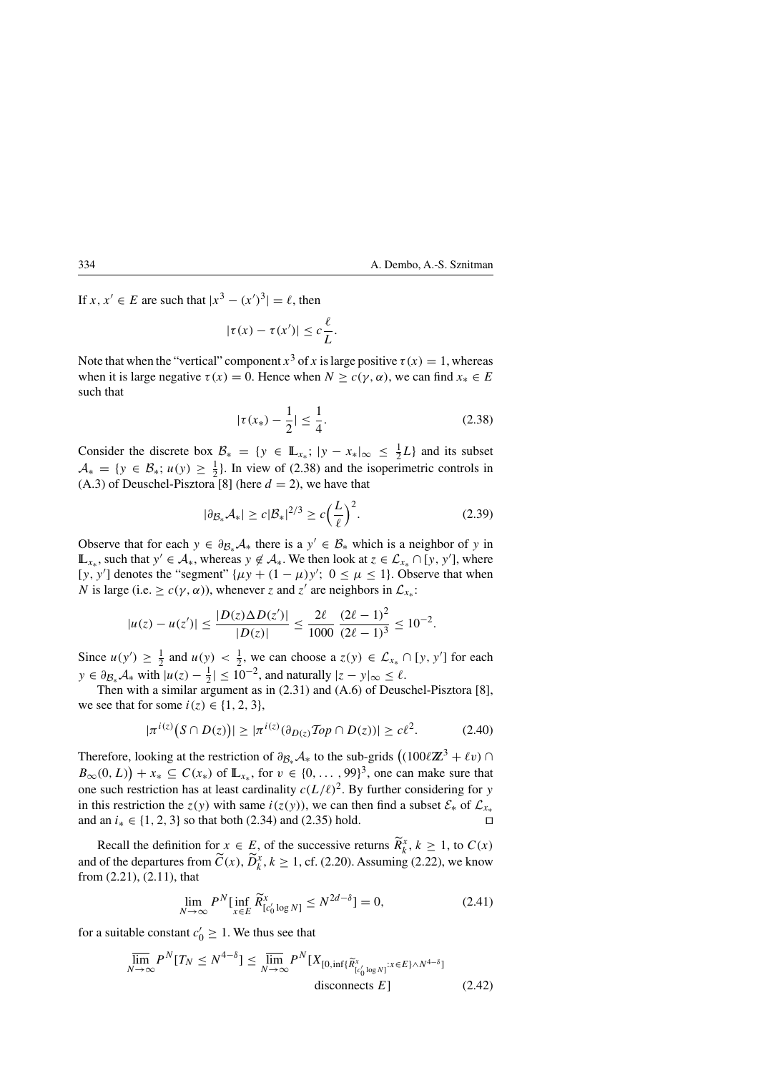If  $x, x' \in E$  are such that  $|x^3 - (x')^3| = \ell$ , then

$$
|\tau(x) - \tau(x')| \leq c \frac{\ell}{L}.
$$

Note that when the "vertical" component  $x^3$  of x is large positive  $\tau(x) = 1$ , whereas when it is large negative  $\tau(x) = 0$ . Hence when  $N \ge c(\gamma, \alpha)$ , we can find  $x_* \in E$ such that

$$
|\tau(x_*) - \frac{1}{2}| \le \frac{1}{4}.\tag{2.38}
$$

Consider the discrete box  $\mathcal{B}_* = \{y \in \mathbb{L}_{x_*}; |y - x_*|_{\infty} \leq \frac{1}{2}L\}$  and its subset  $A_* = \{y \in B_*; u(y) \ge \frac{1}{2}\}\$ . In view of (2.38) and the isoperimetric controls in (A.3) of Deuschel-Pisztora [8] (here  $d = 2$ ), we have that

$$
|\partial \mathcal{B}_* \mathcal{A}_*| \ge c|\mathcal{B}_*|^{2/3} \ge c\Big(\frac{L}{\ell}\Big)^2. \tag{2.39}
$$

Observe that for each  $y \in \partial_{\mathcal{B}_*}\mathcal{A}_*$  there is a  $y' \in \mathcal{B}_*$  which is a neighbor of y in  $\mathbb{L}_{x_*}$ , such that  $y' \in \mathcal{A}_*$ , whereas  $y \notin \mathcal{A}_*$ . We then look at  $z \in \mathcal{L}_{x_*} \cap [y, y']$ , where [y, y'] denotes the "segment"  $\{\mu y + (1 - \mu)y\}'$ ;  $0 \le \mu \le 1$ . Observe that when N is large (i.e.  $\geq c(\gamma, \alpha)$ ), whenever z and z' are neighbors in  $\mathcal{L}_{x_*}$ :

$$
|u(z) - u(z')| \le \frac{|D(z)\Delta D(z')|}{|D(z)|} \le \frac{2\ell}{1000} \frac{(2\ell - 1)^2}{(2\ell - 1)^3} \le 10^{-2}.
$$

Since  $u(y') \ge \frac{1}{2}$  and  $u(y) < \frac{1}{2}$ , we can choose a  $z(y) \in \mathcal{L}_{x_*} \cap [y, y']$  for each  $y \in \partial_{\mathcal{B}_*} \mathcal{A}_*$  with  $|u(z) - \frac{1}{2}| \leq 10^{-2}$ , and naturally  $|z - y|_{\infty} \leq \ell$ .

Then with a similar argument as in (2.31) and (A.6) of Deuschel-Pisztora [8], we see that for some  $i(z) \in \{1, 2, 3\}$ ,

$$
|\pi^{i(z)}\big(S \cap D(z)\big)| \ge |\pi^{i(z)}(\partial_{D(z)} \mathcal{T}\! op \cap D(z))| \ge c\ell^2. \tag{2.40}
$$

Therefore, looking at the restriction of  $\partial_{\mathcal{B}_*}\mathcal{A}_*$  to the sub-grids  $((100\ell\mathbb{Z}^3 + \ell v) \cap$ Therefore, looking at the restriction of  $\partial_{\mathcal{B}_*}\mathcal{A}_*$  to the sub-grids  $((100\ell\mathbb{Z}^3 + \ell v) \cap B_\infty(0,L)) + x_* \subseteq C(x_*)$  of  $\mathbb{L}_{x_*}$ , for  $v \in \{0, \dots, 99\}^3$ , one can make sure that one such restriction has at least cardinality  $c(L/\ell)^2$ . By further considering for y in this restriction the  $z(y)$  with same  $i(z(y))$ , we can then find a subset  $\mathcal{E}_*$  of  $\mathcal{L}_{x_*}$  and an  $i_* \in \{1, 2, 3\}$  so that both (2.34) and (2.35) hold. and an  $i_* \in \{1, 2, 3\}$  so that both (2.34) and (2.35) hold.

Recall the definition for  $x \in E$ , of the successive returns  $\widetilde{R}_k^x$ ,  $k \ge 1$ , to  $C(x)$ and of the departures from  $\widetilde{C}(x)$ ,  $\widetilde{D}_k^x$ ,  $k \ge 1$ , cf. (2.20). Assuming (2.22), we know from (2.21), (2.11), that

$$
\lim_{N \to \infty} P^N[\inf_{x \in E} \widetilde{R}_{[c_0' \log N]}^x \le N^{2d - \delta}] = 0,
$$
\n(2.41)

for a suitable constant  $c'_0 \geq 1$ . We thus see that

$$
\overline{\lim}_{N \to \infty} P^N [T_N \le N^{4-\delta}] \le \overline{\lim}_{N \to \infty} P^N [X_{[0, \inf\{\widetilde{R}_{[c'_0 \log N]}^{x} : x \in E\} \wedge N^{4-\delta}]} \text{disconnects } E] \tag{2.42}
$$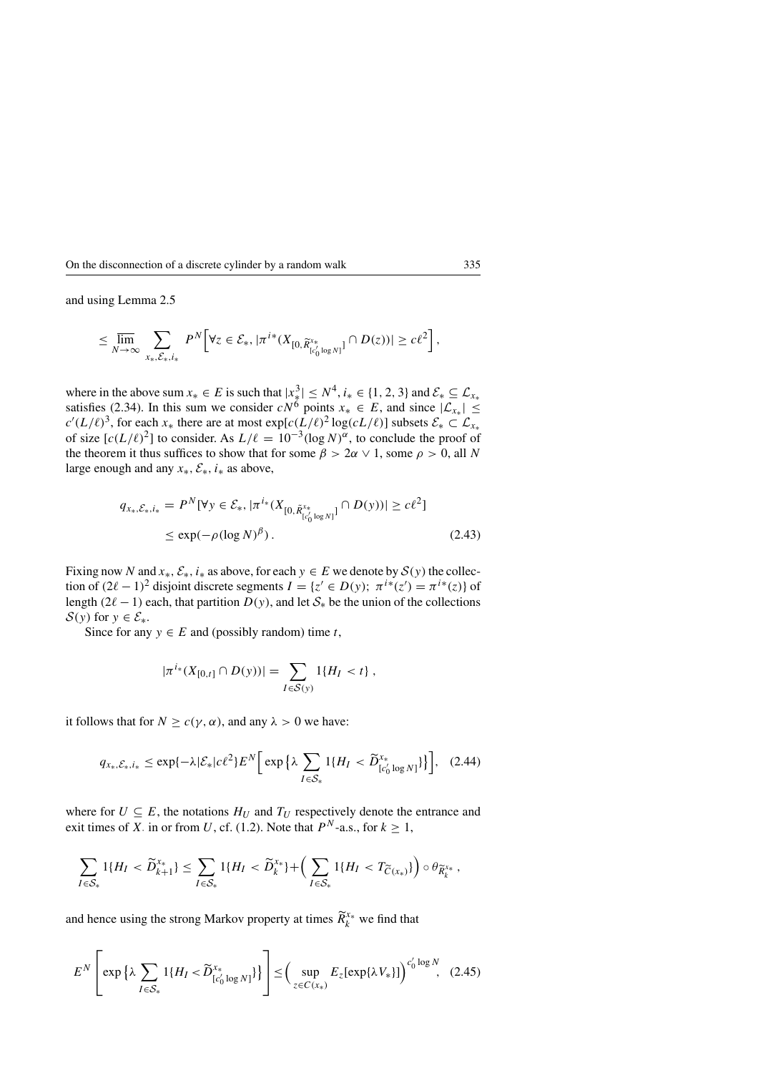and using Lemma 2.5

$$
\leq \overline{\lim}_{N \to \infty} \sum_{x_*,\mathcal{E}_*,i_*} P^N \Big[ \forall z \in \mathcal{E}_*, |\pi^{i*}(X_{[0,\widetilde{R}^{x_*}_{[c_0'\log N]}} \cap D(z))| \geq c\ell^2 \Big],
$$

where in the above sum  $x_* \in E$  is such that  $|x_*^3| \le N^4$ ,  $i_* \in \{1, 2, 3\}$  and  $\mathcal{E}_* \subseteq \mathcal{L}_{x_*}$ satisfies (2.34). In this sum we consider  $cN^6$  points  $x_* \in E$ , and since  $|\mathcal{L}_{x_*}| \le$  $c'(L/\ell)^3$ , for each  $x_*$  there are at most  $exp[c(L/\ell)^2 \log(cL/\ell)]$  subsets  $\mathcal{E}_* \subset \mathcal{L}_{x_*}$ of size  $[c(L/\ell)^2]$  to consider. As  $L/\ell = 10^{-3}(\log N)^{\alpha}$ , to conclude the proof of the theorem it thus suffices to show that for some  $\beta > 2\alpha \vee 1$ , some  $\rho > 0$ , all N large enough and any  $x_*, \mathcal{E}_*, i_*$  as above,

$$
q_{x_{*}, \mathcal{E}_{*}, i_{*}} = P^{N}[\forall y \in \mathcal{E}_{*}, |\pi^{i_{*}}(X_{[0, \tilde{R}_{[c'_{0} \log N]}^{x_{*}}]} \cap D(y))] \ge c\ell^{2}]
$$
  
 
$$
\le \exp(-\rho(\log N)^{\beta}). \tag{2.43}
$$

Fixing now N and  $x_*, \mathcal{E}_*, i_*$  as above, for each  $y \in E$  we denote by  $\mathcal{S}(y)$  the collection of  $(2l - 1)^2$  disjoint discrete segments  $I = \{z' \in D(y); \pi^{i*}(z') = \pi^{i*}(z)\}\$  of length (2 $\ell - 1$ ) each, that partition  $D(y)$ , and let  $S_{*}$  be the union of the collections  $S(y)$  for  $y \in \mathcal{E}_*$ .

Since for any  $y \in E$  and (possibly random) time t,

$$
|\pi^{i_*}(X_{[0,t]}\cap D(y))|=\sum_{I\in S(y)}1\{H_I < t\},\,
$$

it follows that for  $N \ge c(\gamma, \alpha)$ , and any  $\lambda > 0$  we have:

$$
q_{x_{*},\mathcal{E}_{*},i_{*}} \leq \exp\{-\lambda|\mathcal{E}_{*}|c\ell^{2}\}E^{N}\Big[\exp\big\{\lambda\sum_{I\in\mathcal{S}_{*}}1\{H_{I} < \widetilde{D}_{[c'_{0}log N]}^{x_{*}}\}\Big],\quad(2.44)
$$

where for  $U \subseteq E$ , the notations  $H_U$  and  $T_U$  respectively denote the entrance and exit times of X. in or from U, cf. (1.2). Note that  $P^N$ -a.s., for  $k \ge 1$ ,

$$
\sum_{I\in\mathcal{S}_*} 1\{H_I < \widetilde{D}_{k+1}^{x_*}\} \le \sum_{I\in\mathcal{S}_*} 1\{H_I < \widetilde{D}_k^{x_*}\} + \left(\sum_{I\in\mathcal{S}_*} 1\{H_I < T_{\widetilde{C}(x_*)}\}\right) \circ \theta_{\widetilde{R}_k^{x_*}},
$$

and hence using the strong Markov property at times  $\widetilde{R}_k^{x_*}$  we find that

$$
E^N \left[ \exp \left\{ \lambda \sum_{I \in \mathcal{S}_*} 1\{ H_I < \widetilde{D}_{[c_0]}^{x_*} \log N \} \right\} \right] \leq \left( \sup_{z \in C(x_*)} E_z[\exp \{ \lambda V_* \}] \right)^{c_0' \log N}, \tag{2.45}
$$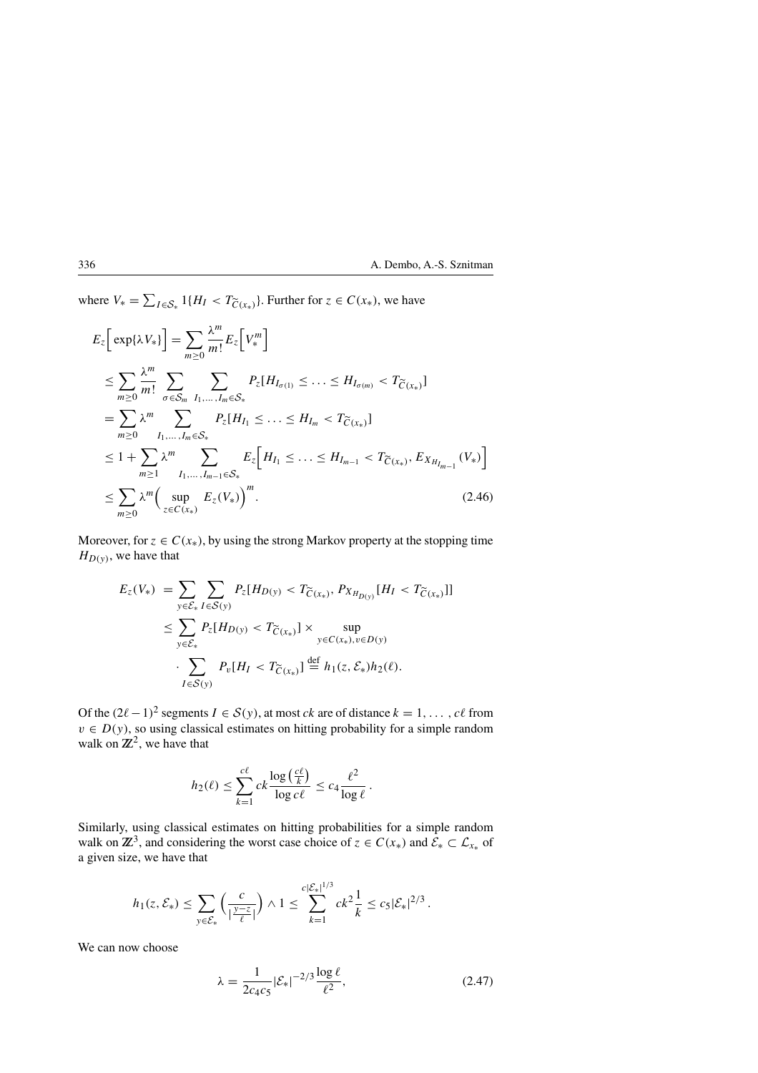where  $V_* = \sum_{I \in S_*} 1\{H_I < T_{\widetilde{C}(x_*)}\}\.$  Further for  $z \in C(x_*)$ , we have

$$
E_{z} \left[ \exp\{\lambda V_{*}\} \right] = \sum_{m \geq 0} \frac{\lambda^{m}}{m!} E_{z} \left[ V_{*}^{m} \right]
$$
  
\n
$$
\leq \sum_{m \geq 0} \frac{\lambda^{m}}{m!} \sum_{\sigma \in S_{m}} \sum_{I_{1},...,I_{m} \in S_{*}} P_{z} [H_{I_{\sigma(1)}} \leq ... \leq H_{I_{\sigma(m)}} < T_{\widetilde{C}(x_{*})}]
$$
  
\n
$$
= \sum_{m \geq 0} \lambda^{m} \sum_{I_{1},...,I_{m} \in S_{*}} P_{z} [H_{I_{1}} \leq ... \leq H_{I_{m}} < T_{\widetilde{C}(x_{*})}]
$$
  
\n
$$
\leq 1 + \sum_{m \geq 1} \lambda^{m} \sum_{I_{1},...,I_{m-1} \in S_{*}} E_{z} \left[ H_{I_{1}} \leq ... \leq H_{I_{m-1}} < T_{\widetilde{C}(x_{*})}, E_{X_{H_{I_{m-1}}}} (V_{*}) \right]
$$
  
\n
$$
\leq \sum_{m \geq 0} \lambda^{m} \left( \sup_{z \in C(x_{*})} E_{z} (V_{*}) \right)^{m}.
$$
 (2.46)

Moreover, for  $z \in C(x_*)$ , by using the strong Markov property at the stopping time  $H_{D(v)}$ , we have that

$$
E_z(V_*) = \sum_{y \in \mathcal{E}_*} \sum_{I \in \mathcal{S}(y)} P_z[H_{D(y)} < T_{\widetilde{C}(x_*)}, P_{X_{H_{D(y)}}}[H_I < T_{\widetilde{C}(x_*)}]]
$$
\n
$$
\leq \sum_{y \in \mathcal{E}_*} P_z[H_{D(y)} < T_{\widetilde{C}(x_*)}] \times \sup_{y \in C(x_*), v \in D(y)} \sum_{I \in \mathcal{S}(y)} P_v[H_I < T_{\widetilde{C}(x_*)}] \stackrel{\text{def}}{=} h_1(z, \mathcal{E}_*) h_2(\ell).
$$

Of the  $(2l-1)^2$  segments  $I \in S(y)$ , at most *ck* are of distance  $k = 1, \ldots, c\ell$  from  $v \in D(y)$ , so using classical estimates on hitting probability for a simple random walk on  $\mathbb{Z}^2$ , we have that

$$
h_2(\ell) \leq \sum_{k=1}^{c\ell} ck \frac{\log\left(\frac{c\ell}{k}\right)}{\log c\ell} \leq c_4 \frac{\ell^2}{\log \ell}.
$$

Similarly, using classical estimates on hitting probabilities for a simple random walk on  $\mathbb{Z}^3$ , and considering the worst case choice of  $z \in C(x_*)$  and  $\mathcal{E}_* \subset \mathcal{L}_{x_*}$  of a given size, we have that

$$
h_1(z,\mathcal{E}_*) \leq \sum_{y \in \mathcal{E}_*} \left( \frac{c}{|\frac{y-z}{\ell}|} \right) \wedge 1 \leq \sum_{k=1}^{c|\mathcal{E}_*|^{1/3}} c k^2 \frac{1}{k} \leq c_5 |\mathcal{E}_*|^{2/3}.
$$

We can now choose

$$
\lambda = \frac{1}{2c_4c_5} |\mathcal{E}_*|^{-2/3} \frac{\log \ell}{\ell^2},\tag{2.47}
$$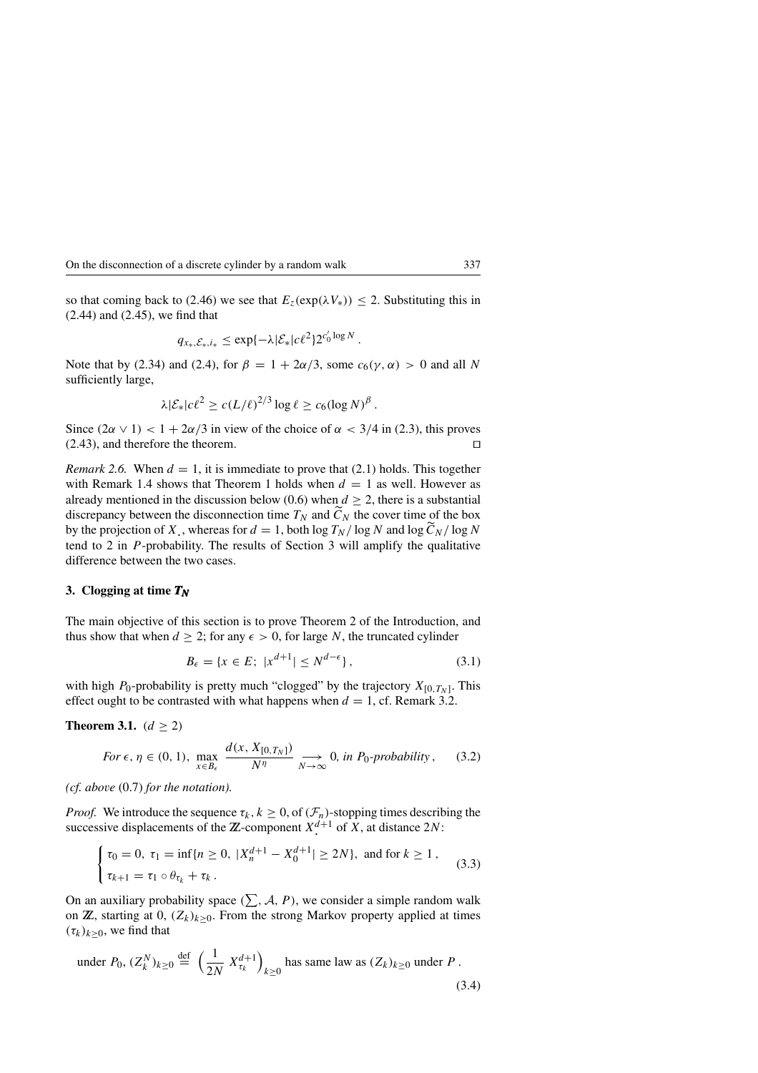so that coming back to (2.46) we see that  $E_z(\exp(\lambda V_*)) \leq 2$ . Substituting this in (2.44) and (2.45), we find that

$$
q_{x_*,\mathcal{E}_*,i_*} \leq \exp\{-\lambda |\mathcal{E}_*|c\ell^2\}2^{c_0'\log N}.
$$

Note that by (2.34) and (2.4), for  $\beta = 1 + 2\alpha/3$ , some  $c_6(\gamma, \alpha) > 0$  and all N sufficiently large,

$$
\lambda |\mathcal{E}_*| c \ell^2 \ge c (L/\ell)^{2/3} \log \ell \ge c_6 (\log N)^{\beta}.
$$

Since  $(2\alpha \vee 1) < 1 + 2\alpha/3$  in view of the choice of  $\alpha < 3/4$  in (2.3), this proves  $(2.43)$ , and therefore the theorem.

*Remark 2.6.* When  $d = 1$ , it is immediate to prove that (2.1) holds. This together with Remark 1.4 shows that Theorem 1 holds when  $d = 1$  as well. However as already mentioned in the discussion below (0.6) when  $d \ge 2$ , there is a substantial discrepancy between the disconnection time  $T_N$  and  $\tilde{C}_N$  the cover time of the box by the projection of X, whereas for  $d = 1$ , both log  $T_N / \log N$  and  $\log \frac{C_N}{N} / \log N$ tend to 2 in *-probability. The results of Section 3 will amplify the qualitative* difference between the two cases.

#### **3. Clogging at time** *TN*

The main objective of this section is to prove Theorem 2 of the Introduction, and thus show that when  $d \geq 2$ ; for any  $\epsilon > 0$ , for large N, the truncated cylinder

$$
B_{\epsilon} = \{ x \in E; \ |x^{d+1}| \le N^{d-\epsilon} \},\tag{3.1}
$$

with high  $P_0$ -probability is pretty much "clogged" by the trajectory  $X_{[0,T_N]}$ . This effect ought to be contrasted with what happens when  $d = 1$ , cf. Remark 3.2.

**Theorem 3.1.** ( $d \ge 2$ )

For 
$$
\epsilon, \eta \in (0, 1)
$$
,  $\max_{x \in B_{\epsilon}} \frac{d(x, X_{[0,T_N]})}{N^{\eta}} \longrightarrow_{N \to \infty} 0$ , in  $P_0$ -probability, (3.2)

*(cf. above* (0.7) *for the notation).*

*Proof.* We introduce the sequence  $\tau_k$ ,  $k \geq 0$ , of  $(\mathcal{F}_n)$ -stopping times describing the successive displacements of the  $\mathbb{Z}$ -component  $X^{d+1}$  of  $X$ , at distance  $2N$ :  $\overline{a}$ 

$$
\begin{cases} \tau_0 = 0, \ \tau_1 = \inf\{n \ge 0, \ |X_n^{d+1} - X_0^{d+1}| \ge 2N\}, \ \text{and for } k \ge 1, \\ \tau_{k+1} = \tau_1 \circ \theta_{\tau_k} + \tau_k. \end{cases} \tag{3.3}
$$

On an auxiliary probability space  $(\sum, \mathcal{A}, P)$ , we consider a simple random walk on  $\mathbb{Z}$ , starting at 0,  $(Z_k)_{k \geq 0}$ . From the strong Markov property applied at times  $(\tau_k)_{k>0}$ , we find that

under 
$$
P_0
$$
,  $(Z_k^N)_{k\geq 0} \stackrel{\text{def}}{=} \left(\frac{1}{2N} X_{\tau_k}^{d+1}\right)_{k\geq 0}$  has same law as  $(Z_k)_{k\geq 0}$  under  $P$ . (3.4)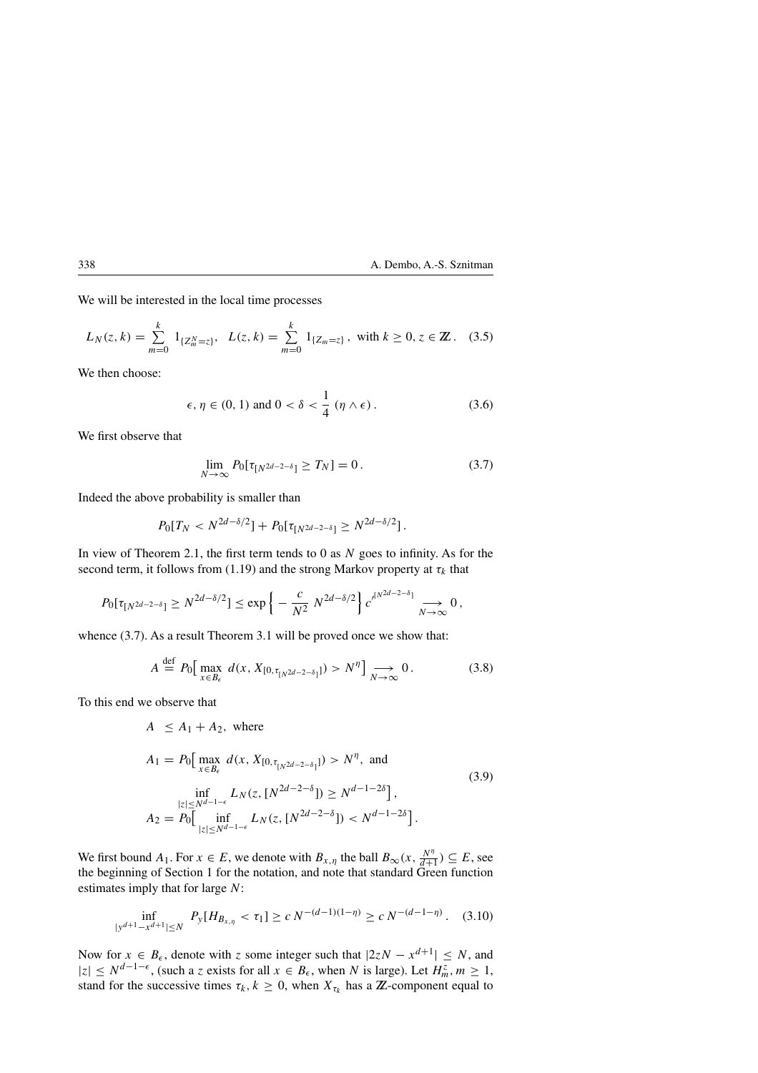We will be interested in the local time processes

$$
L_N(z,k) = \sum_{m=0}^k 1_{\{Z_m^N = z\}}, \quad L(z,k) = \sum_{m=0}^k 1_{\{Z_m = z\}}, \text{ with } k \ge 0, z \in \mathbb{Z}. \tag{3.5}
$$

We then choose:

$$
\epsilon, \eta \in (0, 1) \text{ and } 0 < \delta < \frac{1}{4} \left( \eta \wedge \epsilon \right). \tag{3.6}
$$

We first observe that

$$
\lim_{N \to \infty} P_0[\tau_{[N^{2d-2-\delta}]} \ge T_N] = 0. \tag{3.7}
$$

Indeed the above probability is smaller than

$$
P_0[T_N < N^{2d-\delta/2}] + P_0[\tau_{N^{2d-2-\delta}}] \geq N^{2d-\delta/2}].
$$

In view of Theorem 2.1, the first term tends to 0 as  $N$  goes to infinity. As for the second term, it follows from (1.19) and the strong Markov property at  $\tau_k$  that

$$
P_0[\tau_{[N^{2d-2-\delta}]}\geq N^{2d-\delta/2}]\leq \exp\left\{-\frac{c}{N^2}N^{2d-\delta/2}\right\}c'^{[N^{2d-2-\delta}]}\underset{N\to\infty}{\longrightarrow}0\,,
$$

whence  $(3.7)$ . As a result Theorem 3.1 will be proved once we show that:

$$
A \stackrel{\text{def}}{=} P_0 \big[ \max_{x \in B_\epsilon} d(x, X_{[0, \tau_{[N^{2d-2-\delta}]}]}) > N^{\eta} \big] \underset{N \to \infty}{\longrightarrow} 0. \tag{3.8}
$$

To this end we observe that

$$
A \le A_1 + A_2, \text{ where}
$$

$$
A_1 = P_0 \Big[ \max_{x \in B_{\epsilon}} d(x, X_{[0, \tau_{[N^{2d-2-\delta}]}]}) > N^{\eta}, \text{ and}
$$
  
\n
$$
\inf_{|z| \le N^{d-1-\epsilon}} L_N(z, [N^{2d-2-\delta}]) \ge N^{d-1-2\delta} \Big],
$$
  
\n
$$
A_2 = P_0 \Big[ \inf_{|z| \le N^{d-1-\epsilon}} L_N(z, [N^{2d-2-\delta}]) < N^{d-1-2\delta} \Big].
$$
\n(3.9)

We first bound  $A_1$ . For  $x \in E$ , we denote with  $B_{x,\eta}$  the ball  $B_{\infty}(x, \frac{N^{\eta}}{d+1}) \subseteq E$ , see the beginning of Section 1 for the notation, and note that standard Green function estimates imply that for large N:

$$
\inf_{|y^{d+1}-x^{d+1}| \le N} P_y[H_{B_{x,\eta}} < \tau_1] \ge c N^{-(d-1)(1-\eta)} \ge c N^{-(d-1-\eta)}. (3.10)
$$

Now for  $x \in B_\epsilon$ , denote with z some integer such that  $|2zN - x^{d+1}| \leq N$ , and  $|z| \leq N^{d-1-\epsilon}$ , (such a z exists for all  $x \in B_{\epsilon}$ , when N is large). Let  $H_m^z$ ,  $m \geq 1$ , stand for the successive times  $\tau_k$ ,  $k \geq 0$ , when  $X_{\tau_k}$  has a  $\mathbb{Z}$ -component equal to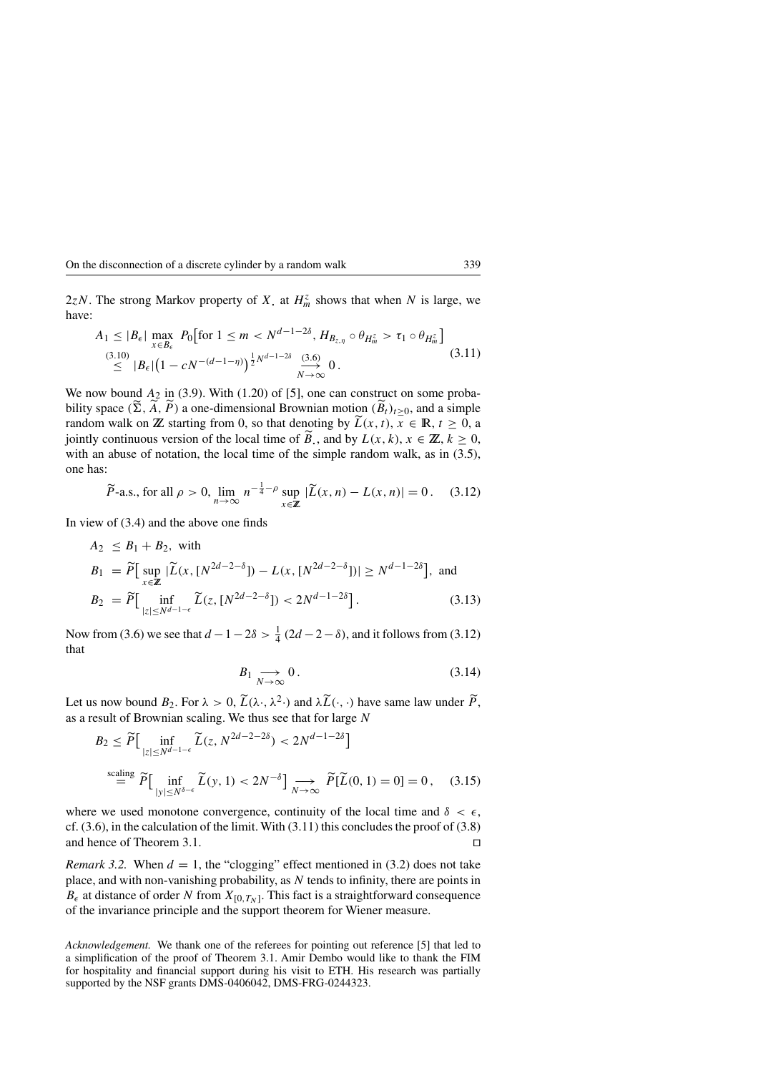2zN. The strong Markov property of X, at  $H_m^z$  shows that when N is large, we have:  $\overline{a}$  $\overline{a}$ 

$$
A_1 \le |B_{\epsilon}| \max_{x \in B_{\epsilon}} P_0 \left[ \text{for } 1 \le m < N^{d-1-2\delta}, H_{B_{z,\eta}} \circ \theta_{H_m^z} > \tau_1 \circ \theta_{H_m^z} \right] \tag{3.10}
$$
\n
$$
\le |B_{\epsilon}| \left( 1 - cN^{-(d-1-\eta)} \right)^{\frac{1}{2} N^{d-1-2\delta}} \xrightarrow[N \to \infty]{(3.6)} 0 \tag{3.11}
$$

We now bound  $A_2$  in (3.9). With (1.20) of [5], one can construct on some probability space  $(\Sigma, \tilde{A}, \tilde{P})$  a one-dimensional Brownian motion  $(\tilde{B}_t)_{t\geq 0}$ , and a simple random walk on **Z** starting from 0, so that denoting by  $\tilde{L}(x, t)$ ,  $x \in \mathbb{R}$ ,  $t \ge 0$ , a jointly continuous version of the local time of  $\widetilde{B}_n$ , and by  $L(x, k)$ ,  $x \in \mathbb{Z}$ ,  $k \ge 0$ , with an abuse of notation, the local time of the simple random walk, as in  $(3.5)$ , one has:

$$
\widetilde{P}\text{-a.s., for all }\rho > 0, \lim_{n \to \infty} n^{-\frac{1}{4} - \rho} \sup_{x \in \mathbb{Z}} |\widetilde{L}(x, n) - L(x, n)| = 0. \tag{3.12}
$$

In view of (3.4) and the above one finds

$$
A_2 \leq B_1 + B_2, \text{ with}
$$
  
\n
$$
B_1 = \widetilde{P} \Big[ \sup_{x \in \mathbb{Z}} |\widetilde{L}(x, [N^{2d-2-\delta}]) - L(x, [N^{2d-2-\delta}])| \geq N^{d-1-2\delta} \Big], \text{ and}
$$
  
\n
$$
B_2 = \widetilde{P} \Big[ \inf_{|z| \leq N^{d-1-\epsilon}} \widetilde{L}(z, [N^{2d-2-\delta}]) < 2N^{d-1-2\delta} \Big]. \tag{3.13}
$$

Now from (3.6) we see that  $d-1-2\delta > \frac{1}{4} (2d-2-\delta)$ , and it follows from (3.12) that

$$
B_1 \underset{N \to \infty}{\longrightarrow} 0. \tag{3.14}
$$

Let us now bound  $B_2$ . For  $\lambda > 0$ ,  $\widetilde{L}(\lambda \cdot, \lambda^2 \cdot)$  and  $\lambda \widetilde{L}(\cdot, \cdot)$  have same law under  $\widetilde{P}$ ,

as a result of Brownian scaling. We thus see that for large *N*  
\n
$$
B_2 \le \widetilde{P} \Big[ \inf_{|z| \le N^{d-1-\epsilon}} \widetilde{L}(z, N^{2d-2-2\delta}) < 2N^{d-1-2\delta} \Big]
$$
\n
$$
\stackrel{\text{scaling}}{=} \widetilde{P} \Big[ \inf_{|y| \le N^{\delta-\epsilon}} \widetilde{L}(y, 1) < 2N^{-\delta} \Big] \underset{N \to \infty}{\longrightarrow} \widetilde{P}[\widetilde{L}(0, 1) = 0] = 0, \quad (3.15)
$$

where we used monotone convergence, continuity of the local time and  $\delta < \epsilon$ , cf.  $(3.6)$ , in the calculation of the limit. With  $(3.11)$  this concludes the proof of  $(3.8)$ and hence of Theorem 3.1.

*Remark 3.2.* When  $d = 1$ , the "clogging" effect mentioned in (3.2) does not take place, and with non-vanishing probability, as N tends to infinity, there are points in  $B_{\epsilon}$  at distance of order N from  $X_{[0,T_N]}$ . This fact is a straightforward consequence of the invariance principle and the support theorem for Wiener measure.

*Acknowledgement.* We thank one of the referees for pointing out reference [5] that led to a simplification of the proof of Theorem 3.1. Amir Dembo would like to thank the FIM for hospitality and financial support during his visit to ETH. His research was partially supported by the NSF grants DMS-0406042, DMS-FRG-0244323.